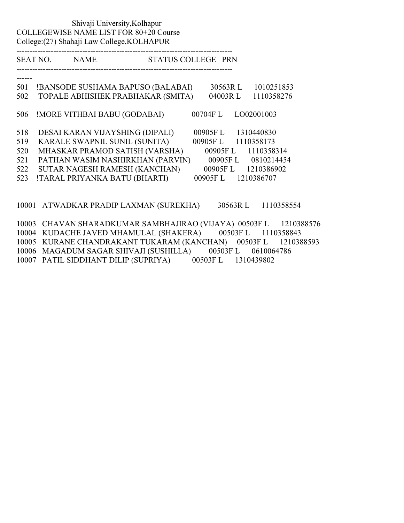### Shivaji University,Kolhapur COLLEGEWISE NAME LIST FOR 80+20 Course College:(27) Shahaji Law College,KOLHAPUR

---------------------------------------------------------------------------------- STATUS COLLEGE PRN

----------------------------------------------------------------------------------

| 501 | !BANSODE SUSHAMA BAPUSO (BALABAI) | 30563RL | 1010251853         |
|-----|-----------------------------------|---------|--------------------|
| 502 | TOPALE ABHISHEK PRABHAKAR (SMITA) | 04003RL | 1110358276         |
|     |                                   |         |                    |
|     |                                   |         |                    |
| 506 | !MORE VITHBAI BABU (GODABAI)      | 00704FL | LO02001003         |
|     |                                   |         |                    |
| 518 | DESAI KARAN VIJAYSHING (DIPALI)   | 00905FL | 1310440830         |
| 519 | KARALE SWAPNIL SUNIL (SUNITA)     | 00905FL | 1110358173         |
| 520 | MHASKAR PRAMOD SATISH (VARSHA)    | 00905FL | 1110358314         |
| 521 | PATHAN WASIM NASHIRKHAN (PARVIN)  |         | 00905FL 0810214454 |
| 522 | SUTAR NAGESH RAMESH (KANCHAN)     | 00905FL | 1210386902         |
| 523 | !TARAL PRIYANKA BATU (BHARTI)     | 00905FL | 1210386707         |
|     |                                   |         |                    |

10001 ATWADKAR PRADIP LAXMAN (SUREKHA) 30563R L 1110358554

10003 CHAVAN SHARADKUMAR SAMBHAJIRAO (VIJAYA) 00503F L 1210388576 10004 KUDACHE JAVED MHAMULAL (SHAKERA) 00503F L 1110358843 10005 KURANE CHANDRAKANT TUKARAM (KANCHAN) 00503F L 1210388593 10006 MAGADUM SAGAR SHIVAJI (SUSHILLA) 00503F L 0610064786 10007 PATIL SIDDHANT DILIP (SUPRIYA) 00503F L 1310439802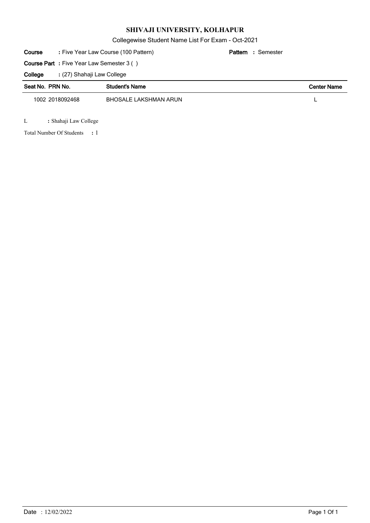Collegewise Student Name List For Exam - Oct-2021

| : Five Year Law Course (100 Pattern)<br>Course<br>: Semester<br>Pattern |                                                  |                       |  |  |                    |  |
|-------------------------------------------------------------------------|--------------------------------------------------|-----------------------|--|--|--------------------|--|
|                                                                         | <b>Course Part</b> : Five Year Law Semester 3 () |                       |  |  |                    |  |
| College                                                                 | : (27) Shahaji Law College                       |                       |  |  |                    |  |
| Seat No. PRN No.                                                        |                                                  | <b>Student's Name</b> |  |  | <b>Center Name</b> |  |
| 1002 2018092468                                                         |                                                  | BHOSALE LAKSHMAN ARUN |  |  |                    |  |

L **:** Shahaji Law College

1 Total Number Of Students **:**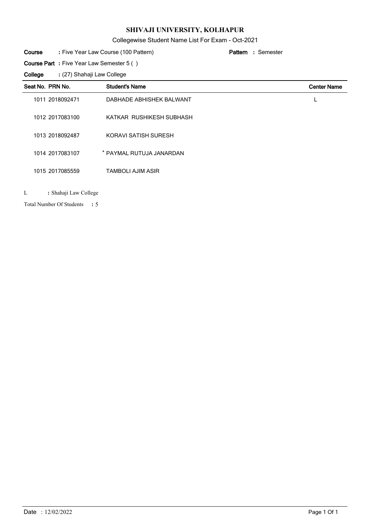# Collegewise Student Name List For Exam - Oct-2021

#### Five Year Law Course (100 Pattern) **: Pattern Course**

Semester **:**

**Course Part :** Five Year Law Semester 5 ( )

(27) Shahaji Law College **: College**

| Seat No. PRN No. |                 | <b>Student's Name</b>    | <b>Center Name</b> |
|------------------|-----------------|--------------------------|--------------------|
|                  | 1011 2018092471 | DABHADE ABHISHEK BALWANT |                    |
|                  | 1012 2017083100 | KATKAR RUSHIKESH SUBHASH |                    |
|                  | 1013 2018092487 | KORAVI SATISH SURESH     |                    |
|                  | 1014 2017083107 | * PAYMAL RUTUJA JANARDAN |                    |
|                  | 1015 2017085559 | <b>TAMBOLI AJIM ASIR</b> |                    |
|                  |                 |                          |                    |

L **:** Shahaji Law College

5 Total Number Of Students **:**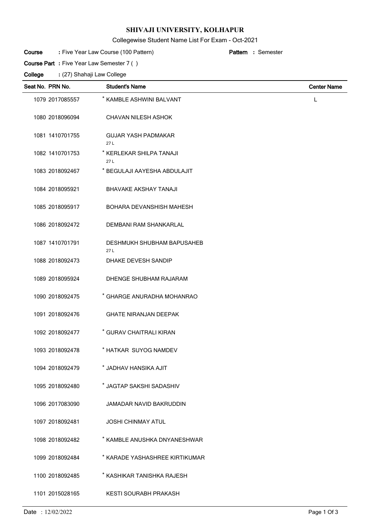## Collegewise Student Name List For Exam - Oct-2021

Semester **:**

#### Five Year Law Course (100 Pattern) **: Pattern Course**

**Course Part :** Five Year Law Semester 7 ( )

| Seat No. PRN No. | <b>Student's Name</b>             | <b>Center Name</b> |
|------------------|-----------------------------------|--------------------|
| 1079 2017085557  | * KAMBLE ASHWINI BALVANT          | L                  |
| 1080 2018096094  | <b>CHAVAN NILESH ASHOK</b>        |                    |
| 1081 1410701755  | <b>GUJAR YASH PADMAKAR</b><br>27L |                    |
| 1082 1410701753  | * KERLEKAR SHILPA TANAJI<br>27L   |                    |
| 1083 2018092467  | * BEGULAJI AAYESHA ABDULAJIT      |                    |
| 1084 2018095921  | <b>BHAVAKE AKSHAY TANAJI</b>      |                    |
| 1085 2018095917  | <b>BOHARA DEVANSHISH MAHESH</b>   |                    |
| 1086 2018092472  | <b>DEMBANI RAM SHANKARLAL</b>     |                    |
| 1087 1410701791  | DESHMUKH SHUBHAM BAPUSAHEB<br>27L |                    |
| 1088 2018092473  | DHAKE DEVESH SANDIP               |                    |
| 1089 2018095924  | DHENGE SHUBHAM RAJARAM            |                    |
| 1090 2018092475  | * GHARGE ANURADHA MOHANRAO        |                    |
| 1091 2018092476  | <b>GHATE NIRANJAN DEEPAK</b>      |                    |
| 1092 2018092477  | * GURAV CHAITRALI KIRAN           |                    |
| 1093 2018092478  | * HATKAR SUYOG NAMDEV             |                    |
| 1094 2018092479  | * JADHAV HANSIKA AJIT             |                    |
| 1095 2018092480  | * JAGTAP SAKSHI SADASHIV          |                    |
| 1096 2017083090  | JAMADAR NAVID BAKRUDDIN           |                    |
| 1097 2018092481  | <b>JOSHI CHINMAY ATUL</b>         |                    |
| 1098 2018092482  | * KAMBLE ANUSHKA DNYANESHWAR      |                    |
| 1099 2018092484  | * KARADE YASHASHREE KIRTIKUMAR    |                    |
| 1100 2018092485  | * KASHIKAR TANISHKA RAJESH        |                    |
| 1101 2015028165  | KESTI SOURABH PRAKASH             |                    |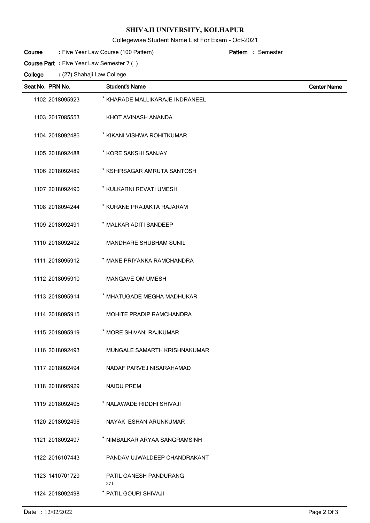## Collegewise Student Name List For Exam - Oct-2021

Semester **:**

#### Five Year Law Course (100 Pattern) **: Pattern Course**

**Course Part :** Five Year Law Semester 7 ( )

| Seat No. PRN No. |     | <b>Student's Name</b>           | <b>Center Name</b> |
|------------------|-----|---------------------------------|--------------------|
| 1102 2018095923  |     | * KHARADE MALLIKARAJE INDRANEEL |                    |
| 1103 2017085553  |     | KHOT AVINASH ANANDA             |                    |
| 1104 2018092486  |     | * KIKANI VISHWA ROHITKUMAR      |                    |
| 1105 2018092488  |     | * KORE SAKSHI SANJAY            |                    |
| 1106 2018092489  |     | * KSHIRSAGAR AMRUTA SANTOSH     |                    |
| 1107 2018092490  |     | * KULKARNI REVATI UMESH         |                    |
| 1108 2018094244  |     | * KURANE PRAJAKTA RAJARAM       |                    |
| 1109 2018092491  |     | * MALKAR ADITI SANDEEP          |                    |
| 1110 2018092492  |     | <b>MANDHARE SHUBHAM SUNIL</b>   |                    |
| 1111 2018095912  |     | * MANE PRIYANKA RAMCHANDRA      |                    |
| 1112 2018095910  |     | <b>MANGAVE OM UMESH</b>         |                    |
| 1113 2018095914  |     | * MHATUGADE MEGHA MADHUKAR      |                    |
| 1114 2018095915  |     | MOHITE PRADIP RAMCHANDRA        |                    |
| 1115 2018095919  |     | * MORE SHIVANI RAJKUMAR         |                    |
| 1116 2018092493  |     | MUNGALE SAMARTH KRISHNAKUMAR    |                    |
| 1117 2018092494  |     | NADAF PARVEJ NISARAHAMAD        |                    |
| 1118 2018095929  |     | <b>NAIDU PREM</b>               |                    |
| 1119 2018092495  |     | * NALAWADE RIDDHI SHIVAJI       |                    |
| 1120 2018092496  |     | NAYAK ESHAN ARUNKUMAR           |                    |
| 1121 2018092497  |     | * NIMBALKAR ARYAA SANGRAMSINH   |                    |
| 1122 2016107443  |     | PANDAV UJWALDEEP CHANDRAKANT    |                    |
| 1123 1410701729  | 27L | PATIL GANESH PANDURANG          |                    |
| 1124 2018092498  |     | * PATIL GOURI SHIVAJI           |                    |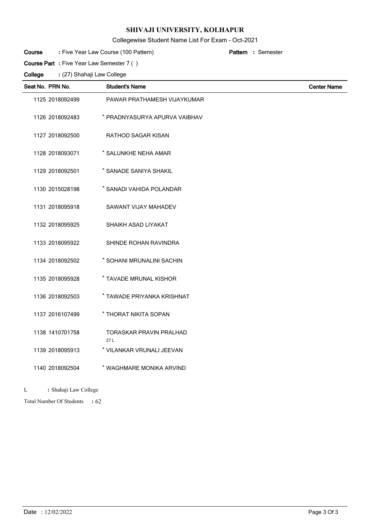# Collegewise Student Name List For Exam - Oct-2021

Semester **:**

#### Five Year Law Course (100 Pattern) **: Pattern Course**

**Course Part :** Five Year Law Semester 7 ( )

(27) Shahaji Law College **: College**

| Seat No. PRN No. | <b>Student's Name</b>                 | <b>Center Name</b> |
|------------------|---------------------------------------|--------------------|
| 1125 2018092499  | PAWAR PRATHAMESH VIJAYKUMAR           |                    |
| 1126 2018092483  | * PRADNYASURYA APURVA VAIBHAV         |                    |
| 1127 2018092500  | RATHOD SAGAR KISAN                    |                    |
| 1128 2018093071  | * SALUNKHE NEHA AMAR                  |                    |
| 1129 2018092501  | * SANADE SANIYA SHAKIL                |                    |
| 1130 2015028198  | * SANADI VAHIDA POLANDAR              |                    |
| 1131 2018095918  | SAWANT VIJAY MAHADEV                  |                    |
| 1132 2018095925  | SHAIKH ASAD LIYAKAT                   |                    |
| 1133 2018095922  | SHINDE ROHAN RAVINDRA                 |                    |
| 1134 2018092502  | * SOHANI MRUNALINI SACHIN             |                    |
| 1135 2018095928  | * TAVADE MRUNAL KISHOR                |                    |
| 1136 2018092503  | * TAWADE PRIYANKA KRISHNAT            |                    |
| 1137 2016107499  | * THORAT NIKITA SOPAN                 |                    |
| 1138 1410701758  | <b>TORASKAR PRAVIN PRALHAD</b><br>27L |                    |
| 1139 2018095913  | * VILANKAR VRUNALI JEEVAN             |                    |
| 1140 2018092504  | * WAGHMARE MONIKA ARVIND              |                    |

L **:** Shahaji Law College

62 Total Number Of Students **:**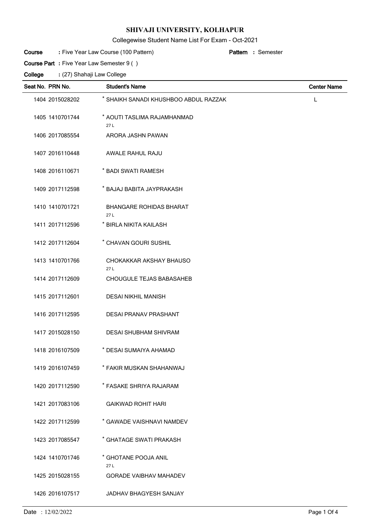## Collegewise Student Name List For Exam - Oct-2021

Semester **:**

#### Five Year Law Course (100 Pattern) **: Pattern Course**

**Course Part :** Five Year Law Semester 9 ( )

| Seat No. PRN No. | <b>Student's Name</b>                 | <b>Center Name</b> |
|------------------|---------------------------------------|--------------------|
| 1404 2015028202  | * SHAIKH SANADI KHUSHBOO ABDUL RAZZAK | L                  |
| 1405 1410701744  | * AOUTI TASLIMA RAJAMHANMAD<br>27L    |                    |
| 1406 2017085554  | ARORA JASHN PAWAN                     |                    |
| 1407 2016110448  | AWALE RAHUL RAJU                      |                    |
| 1408 2016110671  | * BADI SWATI RAMESH                   |                    |
| 1409 2017112598  | * BAJAJ BABITA JAYPRAKASH             |                    |
| 1410 1410701721  | <b>BHANGARE ROHIDAS BHARAT</b><br>27L |                    |
| 1411 2017112596  | * BIRLA NIKITA KAILASH                |                    |
| 1412 2017112604  | * CHAVAN GOURI SUSHIL                 |                    |
| 1413 1410701766  | CHOKAKKAR AKSHAY BHAUSO<br>27 L       |                    |
| 1414 2017112609  | CHOUGULE TEJAS BABASAHEB              |                    |
| 1415 2017112601  | <b>DESAI NIKHIL MANISH</b>            |                    |
| 1416 2017112595  | <b>DESAI PRANAV PRASHANT</b>          |                    |
| 1417 2015028150  | <b>DESAI SHUBHAM SHIVRAM</b>          |                    |
| 1418 2016107509  | * DESAI SUMAIYA AHAMAD                |                    |
| 1419 2016107459  | * FAKIR MUSKAN SHAHANWAJ              |                    |
| 1420 2017112590  | * FASAKE SHRIYA RAJARAM               |                    |
| 1421 2017083106  | <b>GAIKWAD ROHIT HARI</b>             |                    |
| 1422 2017112599  | * GAWADE VAISHNAVI NAMDEV             |                    |
| 1423 2017085547  | * GHATAGE SWATI PRAKASH               |                    |
| 1424 1410701746  | * GHOTANE POOJA ANIL<br>27 L          |                    |
| 1425 2015028155  | <b>GORADE VAIBHAV MAHADEV</b>         |                    |
| 1426 2016107517  | JADHAV BHAGYESH SANJAY                |                    |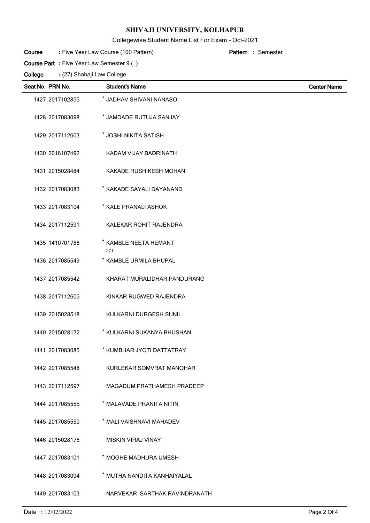## Collegewise Student Name List For Exam - Oct-2021

Semester **:**

#### Five Year Law Course (100 Pattern) **: Pattern Course**

**Course Part :** Five Year Law Semester 9 ( )

| Seat No. PRN No. | <b>Student's Name</b>         | <b>Center Name</b> |
|------------------|-------------------------------|--------------------|
| 1427 2017102855  | * JADHAV SHIVANI NANASO       |                    |
| 1428 2017083098  | * JAMDADE RUTUJA SANJAY       |                    |
| 1429 2017112603  | * JOSHI NIKITA SATISH         |                    |
| 1430 2016107492  | KADAM VIJAY BADRINATH         |                    |
| 1431 2015028484  | KAKADE RUSHIKESH MOHAN        |                    |
| 1432 2017083083  | * KAKADE SAYALI DAYANAND      |                    |
| 1433 2017083104  | * KALE PRANALI ASHOK          |                    |
| 1434 2017112591  | KALEKAR ROHIT RAJENDRA        |                    |
| 1435 1410701786  | * KAMBLE NEETA HEMANT<br>27L  |                    |
| 1436 2017085549  | * KAMBLE URMILA BHUPAL        |                    |
| 1437 2017085542  | KHARAT MURALIDHAR PANDURANG   |                    |
| 1438 2017112605  | KINKAR RUGWED RAJENDRA        |                    |
| 1439 2015028518  | KULKARNI DURGESH SUNIL        |                    |
| 1440 2015028172  | * KULKARNI SUKANYA BHUSHAN    |                    |
| 1441 2017083085  | * KUMBHAR JYOTI DATTATRAY     |                    |
| 1442 2017085548  | KURLEKAR SOMVRAT MANOHAR      |                    |
| 1443 2017112597  | MAGADUM PRATHAMESH PRADEEP    |                    |
| 1444 2017085555  | * MALAVADE PRANITA NITIN      |                    |
| 1445 2017085550  | * MALI VAISHNAVI MAHADEV      |                    |
| 1446 2015028176  | <b>MISKIN VIRAJ VINAY</b>     |                    |
| 1447 2017083101  | * MOGHE MADHURA UMESH         |                    |
| 1448 2017083094  | * MUTHA NANDITA KANHAIYALAL   |                    |
| 1449 2017083103  | NARVEKAR SARTHAK RAVINDRANATH |                    |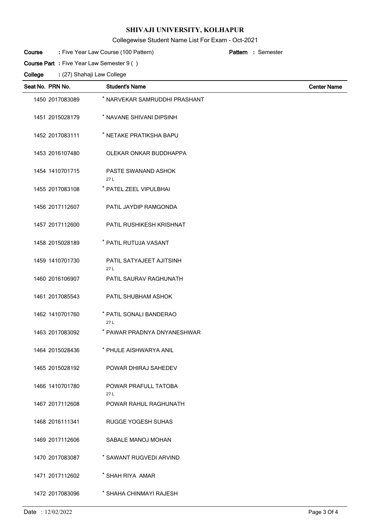## Collegewise Student Name List For Exam - Oct-2021

Semester **:**

#### Five Year Law Course (100 Pattern) **: Pattern Course**

**Course Part :** Five Year Law Semester 9 ( )

| Seat No. PRN No. | <b>Student's Name</b>           | <b>Center Name</b> |
|------------------|---------------------------------|--------------------|
| 1450 2017083089  | * NARVEKAR SAMRUDDHI PRASHANT   |                    |
| 1451 2015028179  | * NAVANE SHIVANI DIPSINH        |                    |
| 1452 2017083111  | * NETAKE PRATIKSHA BAPU         |                    |
| 1453 2016107480  | OLEKAR ONKAR BUDDHAPPA          |                    |
| 1454 1410701715  | PASTE SWANAND ASHOK<br>27L      |                    |
| 1455 2017083108  | * PATEL ZEEL VIPULBHAI          |                    |
| 1456 2017112607  | PATIL JAYDIP RAMGONDA           |                    |
| 1457 2017112600  | PATIL RUSHIKESH KRISHNAT        |                    |
| 1458 2015028189  | * PATIL RUTUJA VASANT           |                    |
| 1459 1410701730  | PATIL SATYAJEET AJITSINH<br>27L |                    |
| 1460 2016106907  | PATIL SAURAV RAGHUNATH          |                    |
| 1461 2017085543  | PATIL SHUBHAM ASHOK             |                    |
| 1462 1410701760  | * PATIL SONALI BANDERAO<br>27L  |                    |
| 1463 2017083092  | * PAWAR PRADNYA DNYANESHWAR     |                    |
| 1464 2015028436  | * PHULE AISHWARYA ANIL          |                    |
| 1465 2015028192  | POWAR DHIRAJ SAHEDEV            |                    |
| 1466 1410701780  | POWAR PRAFULL TATOBA<br>27L     |                    |
| 1467 2017112608  | POWAR RAHUL RAGHUNATH           |                    |
| 1468 2016111341  | RUGGE YOGESH SUHAS              |                    |
| 1469 2017112606  | SABALE MANOJ MOHAN              |                    |
| 1470 2017083087  | * SAWANT RUGVEDI ARVIND         |                    |
| 1471 2017112602  | * SHAH RIYA AMAR                |                    |
| 1472 2017083096  | * SHAHA CHINMAYI RAJESH         |                    |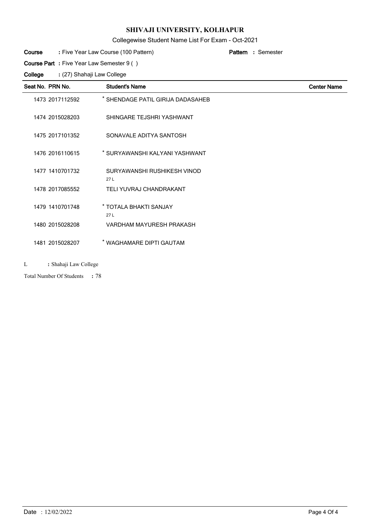#### Collegewise Student Name List For Exam - Oct-2021

#### Five Year Law Course (100 Pattern) **: Pattern Course**

**Course Part :** Five Year Law Semester 9 ( )

(27) Shahaji Law College **: College**

| Seat No. PRN No. | <b>Student's Name</b>              | <b>Center Name</b> |
|------------------|------------------------------------|--------------------|
| 1473 2017112592  | * SHENDAGE PATIL GIRIJA DADASAHEB  |                    |
| 1474 2015028203  | SHINGARE TEJSHRI YASHWANT          |                    |
| 1475 2017101352  | SONAVALE ADITYA SANTOSH            |                    |
| 1476 2016110615  | * SURYAWANSHI KALYANI YASHWANT     |                    |
| 1477 1410701732  | SURYAWANSHI RUSHIKESH VINOD<br>27L |                    |
| 1478 2017085552  | TELI YUVRAJ CHANDRAKANT            |                    |
| 1479 1410701748  | * TOTALA BHAKTI SANJAY<br>27L      |                    |
| 1480 2015028208  | VARDHAM MAYURESH PRAKASH           |                    |
| 1481 2015028207  | * WAGHAMARE DIPTI GAUTAM           |                    |

L **:** Shahaji Law College

Total Number Of Students : 78

Semester **:**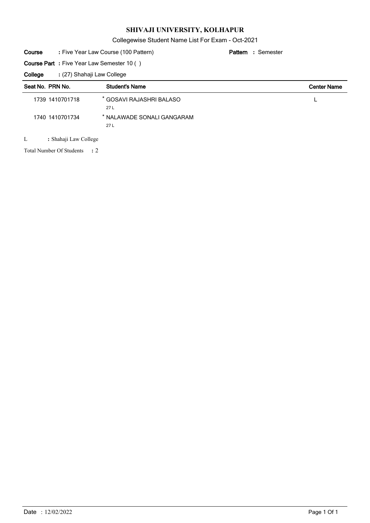Collegewise Student Name List For Exam - Oct-2021

#### Five Year Law Course (100 Pattern) **: Pattern Course**

Semester **:**

**Course Part :** Five Year Law Semester 10 ( )

(27) Shahaji Law College **: College**

| Seat No. PRN No. | <b>Student's Name</b>             | <b>Center Name</b> |
|------------------|-----------------------------------|--------------------|
| 1739 1410701718  | * GOSAVI RAJASHRI BALASO<br>27 L  |                    |
| 1740 1410701734  | * NALAWADE SONALI GANGARAM<br>27L |                    |

L **:** Shahaji Law College

2 Total Number Of Students **:**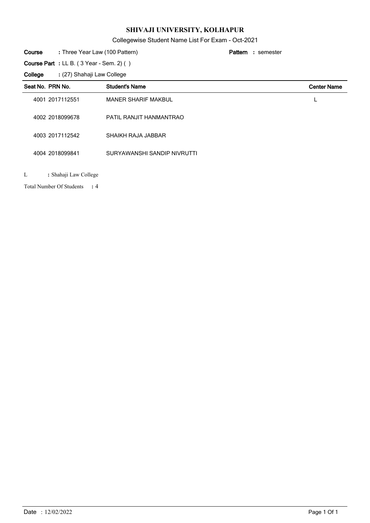Collegewise Student Name List For Exam - Oct-2021

| Course | : Three Year Law (100 Pattern)                       | <b>Pattern</b> : semester |
|--------|------------------------------------------------------|---------------------------|
|        | <b>Course Part</b> : LL B. $(3$ Year - Sem. 2 $)$ () |                           |

(27) Shahaji Law College **: College**

|   | Seat No. PRN No.      | <b>Student's Name</b>       | <b>Center Name</b> |
|---|-----------------------|-----------------------------|--------------------|
|   | 4001 2017112551       | <b>MANER SHARIF MAKBUL</b>  | $\mathbf{L}$       |
|   | 4002 2018099678       | PATIL RANJIT HANMANTRAO     |                    |
|   | 4003 2017112542       | SHAIKH RAJA JABBAR          |                    |
|   | 4004 2018099841       | SURYAWANSHI SANDIP NIVRUTTI |                    |
| L | : Shahaji Law College |                             |                    |

4 Total Number Of Students **:**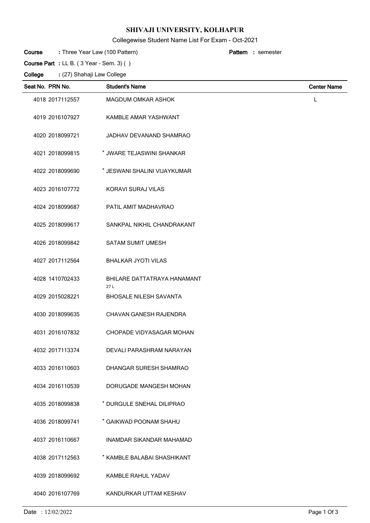## Collegewise Student Name List For Exam - Oct-2021

| Course | : Three Year Law (100 Pattern)                                    | <b>Pattern</b> : semester |
|--------|-------------------------------------------------------------------|---------------------------|
|        | <b>Course Part</b> : LL B. $(3 \text{ Year} - \text{Sem. } 3)$ () |                           |

| Seat No. PRN No. | <b>Student's Name</b>                     | <b>Center Name</b> |
|------------------|-------------------------------------------|--------------------|
| 4018 2017112557  | MAGDUM OMKAR ASHOK                        | L                  |
| 4019 2016107927  | KAMBLE AMAR YASHWANT                      |                    |
| 4020 2018099721  | JADHAV DEVANAND SHAMRAO                   |                    |
| 4021 2018099815  | * JWARE TEJASWINI SHANKAR                 |                    |
| 4022 2018099690  | * JESWANI SHALINI VIJAYKUMAR              |                    |
| 4023 2016107772  | KORAVI SURAJ VILAS                        |                    |
| 4024 2018099687  | PATIL AMIT MADHAVRAO                      |                    |
| 4025 2018099617  | SANKPAL NIKHIL CHANDRAKANT                |                    |
| 4026 2018099842  | <b>SATAM SUMIT UMESH</b>                  |                    |
| 4027 2017112564  | <b>BHALKAR JYOTI VILAS</b>                |                    |
| 4028 1410702433  | <b>BHILARE DATTATRAYA HANAMANT</b><br>27L |                    |
| 4029 2015028221  | <b>BHOSALE NILESH SAVANTA</b>             |                    |
| 4030 2018099635  | CHAVAN GANESH RAJENDRA                    |                    |
| 4031 2016107832  | CHOPADE VIDYASAGAR MOHAN                  |                    |
| 4032 2017113374  | DEVALI PARASHRAM NARAYAN                  |                    |
| 4033 2016110603  | DHANGAR SURESH SHAMRAO                    |                    |
| 4034 2016110539  | DORUGADE MANGESH MOHAN                    |                    |
| 4035 2018099838  | * DURGULE SNEHAL DILIPRAO                 |                    |
| 4036 2018099741  | * GAIKWAD POONAM SHAHU                    |                    |
| 4037 2016110667  | <b>INAMDAR SIKANDAR MAHAMAD</b>           |                    |
| 4038 2017112563  | * KAMBLE BALABAI SHASHIKANT               |                    |
| 4039 2018099692  | <b>KAMBLE RAHUL YADAV</b>                 |                    |
| 4040 2016107769  | KANDURKAR UTTAM KESHAV                    |                    |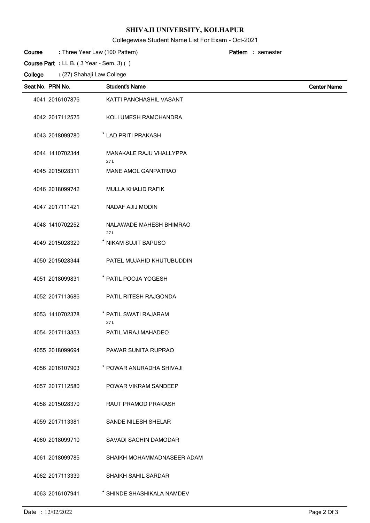## Collegewise Student Name List For Exam - Oct-2021

| Course  | : Three Year Law (100 Pattern)                                    |  | <b>Pattern</b> : semester |
|---------|-------------------------------------------------------------------|--|---------------------------|
|         | <b>Course Part</b> : LL B. $(3 \text{ Year} - \text{Sem. } 3)$ () |  |                           |
| College | : (27) Shahaji Law College                                        |  |                           |

| Seat No. PRN No. | <b>Student's Name</b>                 | <b>Center Name</b> |
|------------------|---------------------------------------|--------------------|
| 4041 2016107876  | KATTI PANCHASHIL VASANT               |                    |
| 4042 2017112575  | KOLI UMESH RAMCHANDRA                 |                    |
| 4043 2018099780  | * LAD PRITI PRAKASH                   |                    |
| 4044 1410702344  | <b>MANAKALE RAJU VHALLYPPA</b><br>27L |                    |
| 4045 2015028311  | <b>MANE AMOL GANPATRAO</b>            |                    |
| 4046 2018099742  | MULLA KHALID RAFIK                    |                    |
| 4047 2017111421  | <b>NADAF AJIJ MODIN</b>               |                    |
| 4048 1410702252  | NALAWADE MAHESH BHIMRAO<br>27L        |                    |
| 4049 2015028329  | * NIKAM SUJIT BAPUSO                  |                    |
| 4050 2015028344  | PATEL MUJAHID KHUTUBUDDIN             |                    |
| 4051 2018099831  | * PATIL POOJA YOGESH                  |                    |
| 4052 2017113686  | PATIL RITESH RAJGONDA                 |                    |
| 4053 1410702378  | * PATIL SWATI RAJARAM<br>27L          |                    |
| 4054 2017113353  | PATIL VIRAJ MAHADEO                   |                    |
| 4055 2018099694  | PAWAR SUNITA RUPRAO                   |                    |
| 4056 2016107903  | * POWAR ANURADHA SHIVAJI              |                    |
| 4057 2017112580  | POWAR VIKRAM SANDEEP                  |                    |
| 4058 2015028370  | RAUT PRAMOD PRAKASH                   |                    |
| 4059 2017113381  | <b>SANDE NILESH SHELAR</b>            |                    |
| 4060 2018099710  | SAVADI SACHIN DAMODAR                 |                    |
| 4061 2018099785  | SHAIKH MOHAMMADNASEER ADAM            |                    |
| 4062 2017113339  | SHAIKH SAHIL SARDAR                   |                    |
| 4063 2016107941  | * SHINDE SHASHIKALA NAMDEV            |                    |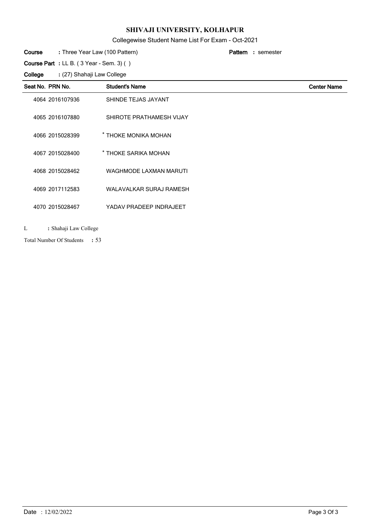#### Collegewise Student Name List For Exam - Oct-2021

|         |                                          | $\frac{1}{2}$                  |                           |                    |
|---------|------------------------------------------|--------------------------------|---------------------------|--------------------|
| Course  | : Three Year Law (100 Pattern)           |                                | <b>Pattern</b> : semester |                    |
|         | Course Part : LL B. (3 Year - Sem. 3) () |                                |                           |                    |
| College | : (27) Shahaji Law College               |                                |                           |                    |
|         | Seat No. PRN No.                         | <b>Student's Name</b>          |                           | <b>Center Name</b> |
|         | 4064 2016107936                          | SHINDE TEJAS JAYANT            |                           |                    |
|         | 4065 2016107880                          | SHIROTE PRATHAMESH VIJAY       |                           |                    |
|         | 4066 2015028399                          | * THOKE MONIKA MOHAN           |                           |                    |
|         | 4067 2015028400                          | * THOKE SARIKA MOHAN           |                           |                    |
|         | 4068 2015028462                          | <b>WAGHMODE LAXMAN MARUTI</b>  |                           |                    |
|         | 4069 2017112583                          | <b>WALAVALKAR SURAJ RAMESH</b> |                           |                    |
|         | 4070 2015028467                          | YADAV PRADEEP INDRAJEET        |                           |                    |
|         |                                          |                                |                           |                    |

L **:** Shahaji Law College

53 Total Number Of Students **:**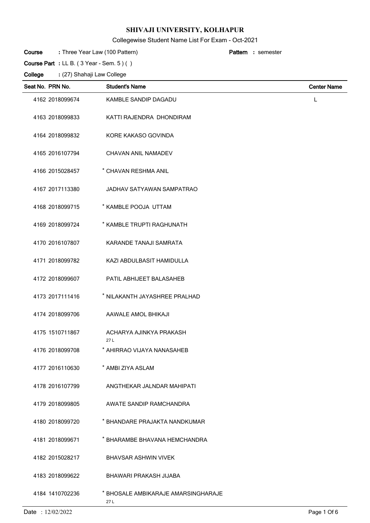## Collegewise Student Name List For Exam - Oct-2021

Three Year Law (100 Pattern) **: Pattern**

semester **:**

| Course Part : LL B. $(3$ Year - Sem. $5)$ $( )$ |                            |                                            |                    |  |  |  |
|-------------------------------------------------|----------------------------|--------------------------------------------|--------------------|--|--|--|
| College                                         | : (27) Shahaji Law College |                                            |                    |  |  |  |
|                                                 | Seat No. PRN No.           | <b>Student's Name</b>                      | <b>Center Name</b> |  |  |  |
|                                                 | 4162 2018099674            | <b>KAMBLE SANDIP DAGADU</b>                | L                  |  |  |  |
|                                                 | 4163 2018099833            | KATTI RAJENDRA DHONDIRAM                   |                    |  |  |  |
|                                                 | 4164 2018099832            | KORE KAKASO GOVINDA                        |                    |  |  |  |
|                                                 | 4165 2016107794            | <b>CHAVAN ANIL NAMADEV</b>                 |                    |  |  |  |
|                                                 | 4166 2015028457            | * CHAVAN RESHMA ANIL                       |                    |  |  |  |
|                                                 | 4167 2017113380            | JADHAV SATYAWAN SAMPATRAO                  |                    |  |  |  |
|                                                 | 4168 2018099715            | * KAMBLE POOJA UTTAM                       |                    |  |  |  |
|                                                 | 4169 2018099724            | * KAMBLE TRUPTI RAGHUNATH                  |                    |  |  |  |
|                                                 | 4170 2016107807            | KARANDE TANAJI SAMRATA                     |                    |  |  |  |
|                                                 | 4171 2018099782            | KAZI ABDULBASIT HAMIDULLA                  |                    |  |  |  |
|                                                 | 4172 2018099607            | PATIL ABHIJEET BALASAHEB                   |                    |  |  |  |
|                                                 | 4173 2017111416            | * NILAKANTH JAYASHREE PRALHAD              |                    |  |  |  |
|                                                 | 4174 2018099706            | AAWALE AMOL BHIKAJI                        |                    |  |  |  |
|                                                 | 4175 1510711867            | ACHARYA AJINKYA PRAKASH<br>27 L            |                    |  |  |  |
|                                                 | 4176 2018099708            | * AHIRRAO VIJAYA NANASAHEB                 |                    |  |  |  |
|                                                 | 4177 2016110630            | * AMBI ZIYA ASLAM                          |                    |  |  |  |
|                                                 | 4178 2016107799            | ANGTHEKAR JALNDAR MAHIPATI                 |                    |  |  |  |
|                                                 | 4179 2018099805            | AWATE SANDIP RAMCHANDRA                    |                    |  |  |  |
|                                                 | 4180 2018099720            | * BHANDARE PRAJAKTA NANDKUMAR              |                    |  |  |  |
|                                                 | 4181 2018099671            | * BHARAMBE BHAVANA HEMCHANDRA              |                    |  |  |  |
|                                                 | 4182 2015028217            | <b>BHAVSAR ASHWIN VIVEK</b>                |                    |  |  |  |
|                                                 | 4183 2018099622            | BHAWARI PRAKASH JIJABA                     |                    |  |  |  |
|                                                 | 4184 1410702236            | * BHOSALE AMBIKARAJE AMARSINGHARAJE<br>27L |                    |  |  |  |

Date : 12/02/2022 Page 1 Of 6

**Course**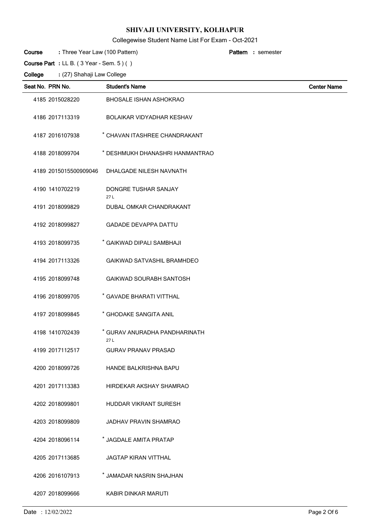# Collegewise Student Name List For Exam - Oct-2021

Three Year Law (100 Pattern) **: Pattern**

semester **:**

|         | Course Part : LL B. (3 Year - Sem. 5) () |                                       |                    |
|---------|------------------------------------------|---------------------------------------|--------------------|
| College | : (27) Shahaji Law College               |                                       |                    |
|         | Seat No. PRN No.                         | <b>Student's Name</b>                 | <b>Center Name</b> |
|         | 4185 2015028220                          | <b>BHOSALE ISHAN ASHOKRAO</b>         |                    |
|         | 4186 2017113319                          | <b>BOLAIKAR VIDYADHAR KESHAV</b>      |                    |
|         | 4187 2016107938                          | * CHAVAN ITASHREE CHANDRAKANT         |                    |
|         | 4188 2018099704                          | * DESHMUKH DHANASHRI HANMANTRAO       |                    |
|         | 4189 2015015500909046                    | DHALGADE NILESH NAVNATH               |                    |
|         | 4190 1410702219                          | DONGRE TUSHAR SANJAY<br>27L           |                    |
|         | 4191 2018099829                          | DUBAL OMKAR CHANDRAKANT               |                    |
|         | 4192 2018099827                          | <b>GADADE DEVAPPA DATTU</b>           |                    |
|         | 4193 2018099735                          | * GAIKWAD DIPALI SAMBHAJI             |                    |
|         | 4194 2017113326                          | <b>GAIKWAD SATVASHIL BRAMHDEO</b>     |                    |
|         | 4195 2018099748                          | <b>GAIKWAD SOURABH SANTOSH</b>        |                    |
|         | 4196 2018099705                          | * GAVADE BHARATI VITTHAL              |                    |
|         | 4197 2018099845                          | * GHODAKE SANGITA ANIL                |                    |
|         | 4198 1410702439                          | * GURAV ANURADHA PANDHARINATH<br>27 L |                    |
|         | 4199 2017112517                          | <b>GURAV PRANAV PRASAD</b>            |                    |
|         | 4200 2018099726                          | <b>HANDE BALKRISHNA BAPU</b>          |                    |
|         | 4201 2017113383                          | HIRDEKAR AKSHAY SHAMRAO               |                    |
|         | 4202 2018099801                          | <b>HUDDAR VIKRANT SURESH</b>          |                    |
|         | 4203 2018099809                          | JADHAV PRAVIN SHAMRAO                 |                    |
|         | 4204 2018096114                          | * JAGDALE AMITA PRATAP                |                    |
|         | 4205 2017113685                          | <b>JAGTAP KIRAN VITTHAL</b>           |                    |
|         | 4206 2016107913                          | * JAMADAR NASRIN SHAJHAN              |                    |
|         | 4207 2018099666                          | KABIR DINKAR MARUTI                   |                    |

**Course**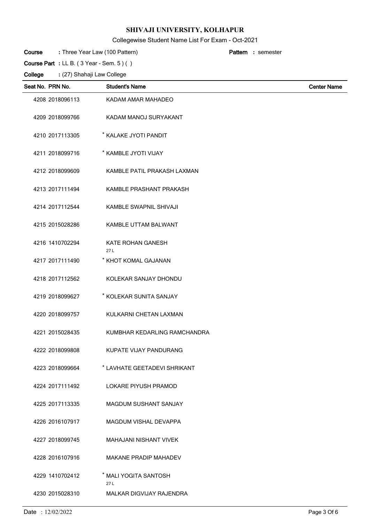# Collegewise Student Name List For Exam - Oct-2021

| Course  | : Three Year Law (100 Pattern)          |                               | Pattern : semester |
|---------|-----------------------------------------|-------------------------------|--------------------|
|         | Course Part : LL B. (3 Year - Sem. 5)() |                               |                    |
| College | : (27) Shahaji Law College              |                               |                    |
|         | Seat No. PRN No.                        | <b>Student's Name</b>         | <b>Center Name</b> |
|         | 4208 2018096113                         | KADAM AMAR MAHADEO            |                    |
|         | 4209 2018099766                         | KADAM MANOJ SURYAKANT         |                    |
|         | 4210 2017113305                         | * KALAKE JYOTI PANDIT         |                    |
|         | 4211 2018099716                         | * KAMBLE JYOTI VIJAY          |                    |
|         | 4212 2018099609                         | KAMBLE PATIL PRAKASH LAXMAN   |                    |
|         | 4213 2017111494                         | KAMBLE PRASHANT PRAKASH       |                    |
|         | 4214 2017112544                         | KAMBLE SWAPNIL SHIVAJI        |                    |
|         | 4215 2015028286                         | KAMBLE UTTAM BALWANT          |                    |
|         | 4216 1410702294                         | KATE ROHAN GANESH<br>27L      |                    |
|         | 4217 2017111490                         | * KHOT KOMAL GAJANAN          |                    |
|         | 4218 2017112562                         | KOLEKAR SANJAY DHONDU         |                    |
|         | 4219 2018099627                         | * KOLEKAR SUNITA SANJAY       |                    |
|         | 4220 2018099757                         | KULKARNI CHETAN LAXMAN        |                    |
|         | 4221 2015028435                         | KUMBHAR KEDARLING RAMCHANDRA  |                    |
|         | 4222 2018099808                         | KUPATE VIJAY PANDURANG        |                    |
|         | 4223 2018099664                         | * LAVHATE GEETADEVI SHRIKANT  |                    |
|         | 4224 2017111492                         | <b>LOKARE PIYUSH PRAMOD</b>   |                    |
|         | 4225 2017113335                         | MAGDUM SUSHANT SANJAY         |                    |
|         | 4226 2016107917                         | <b>MAGDUM VISHAL DEVAPPA</b>  |                    |
|         | 4227 2018099745                         | <b>MAHAJANI NISHANT VIVEK</b> |                    |
|         | 4228 2016107916                         | <b>MAKANE PRADIP MAHADEV</b>  |                    |
|         | 4229 1410702412                         | * MALI YOGITA SANTOSH<br>27 L |                    |
|         | 4230 2015028310                         | MALKAR DIGVIJAY RAJENDRA      |                    |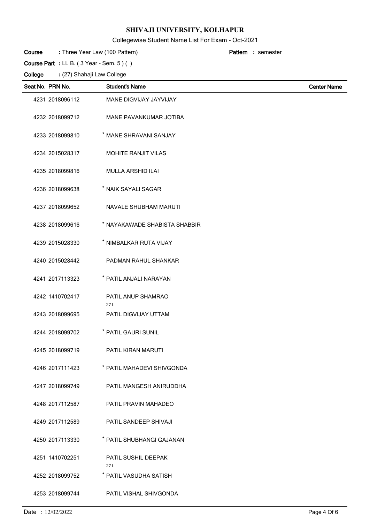# Collegewise Student Name List For Exam - Oct-2021

| : Three Year Law (100 Pattern)<br>Course        |                               | <b>Pattern</b> : semester |  |  |  |  |
|-------------------------------------------------|-------------------------------|---------------------------|--|--|--|--|
| Course Part : LL B. $(3$ Year - Sem. $5)$ $( )$ |                               |                           |  |  |  |  |
| College<br>: (27) Shahaji Law College           |                               |                           |  |  |  |  |
| Seat No. PRN No.                                | <b>Student's Name</b>         | <b>Center Name</b>        |  |  |  |  |
| 4231 2018096112                                 | MANE DIGVIJAY JAYVIJAY        |                           |  |  |  |  |
| 4232 2018099712                                 | MANE PAVANKUMAR JOTIBA        |                           |  |  |  |  |
| 4233 2018099810                                 | * MANE SHRAVANI SANJAY        |                           |  |  |  |  |
| 4234 2015028317                                 | <b>MOHITE RANJIT VILAS</b>    |                           |  |  |  |  |
| 4235 2018099816                                 | <b>MULLA ARSHID ILAI</b>      |                           |  |  |  |  |
| 4236 2018099638                                 | * NAIK SAYALI SAGAR           |                           |  |  |  |  |
| 4237 2018099652                                 | NAVALE SHUBHAM MARUTI         |                           |  |  |  |  |
| 4238 2018099616                                 | * NAYAKAWADE SHABISTA SHABBIR |                           |  |  |  |  |
| 4239 2015028330                                 | * NIMBALKAR RUTA VIJAY        |                           |  |  |  |  |
| 4240 2015028442                                 | PADMAN RAHUL SHANKAR          |                           |  |  |  |  |
| 4241 2017113323                                 | * PATIL ANJALI NARAYAN        |                           |  |  |  |  |
| 4242 1410702417                                 | PATIL ANUP SHAMRAO<br>27L     |                           |  |  |  |  |
| 4243 2018099695                                 | PATIL DIGVIJAY UTTAM          |                           |  |  |  |  |
| 4244 2018099702                                 | * PATIL GAURI SUNIL           |                           |  |  |  |  |
| 4245 2018099719                                 | PATIL KIRAN MARUTI            |                           |  |  |  |  |
| 4246 2017111423                                 | * PATIL MAHADEVI SHIVGONDA    |                           |  |  |  |  |
| 4247 2018099749                                 | PATIL MANGESH ANIRUDDHA       |                           |  |  |  |  |
| 4248 2017112587                                 | PATIL PRAVIN MAHADEO          |                           |  |  |  |  |
| 4249 2017112589                                 | PATIL SANDEEP SHIVAJI         |                           |  |  |  |  |
| 4250 2017113330                                 | * PATIL SHUBHANGI GAJANAN     |                           |  |  |  |  |
| 4251 1410702251                                 | PATIL SUSHIL DEEPAK<br>27L    |                           |  |  |  |  |
| 4252 2018099752                                 | * PATIL VASUDHA SATISH        |                           |  |  |  |  |
| 4253 2018099744                                 | PATIL VISHAL SHIVGONDA        |                           |  |  |  |  |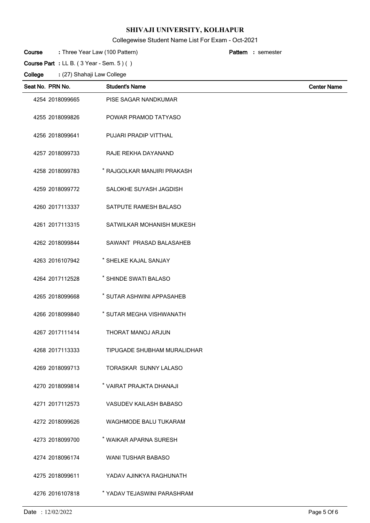# Collegewise Student Name List For Exam - Oct-2021

Three Year Law (100 Pattern) **: Pattern**

semester **:**

 $\overline{a}$ 

| Course Part : LL B. $(3$ Year - Sem. $5)$ $( )$ |                            |                               |                    |  |
|-------------------------------------------------|----------------------------|-------------------------------|--------------------|--|
| College                                         | : (27) Shahaji Law College |                               |                    |  |
|                                                 | Seat No. PRN No.           | <b>Student's Name</b>         | <b>Center Name</b> |  |
|                                                 | 4254 2018099665            | PISE SAGAR NANDKUMAR          |                    |  |
|                                                 | 4255 2018099826            | POWAR PRAMOD TATYASO          |                    |  |
|                                                 | 4256 2018099641            | PUJARI PRADIP VITTHAL         |                    |  |
|                                                 | 4257 2018099733            | RAJE REKHA DAYANAND           |                    |  |
|                                                 | 4258 2018099783            | * RAJGOLKAR MANJIRI PRAKASH   |                    |  |
|                                                 | 4259 2018099772            | SALOKHE SUYASH JAGDISH        |                    |  |
|                                                 | 4260 2017113337            | SATPUTE RAMESH BALASO         |                    |  |
|                                                 | 4261 2017113315            | SATWILKAR MOHANISH MUKESH     |                    |  |
|                                                 | 4262 2018099844            | SAWANT PRASAD BALASAHEB       |                    |  |
|                                                 | 4263 2016107942            | * SHELKE KAJAL SANJAY         |                    |  |
|                                                 | 4264 2017112528            | * SHINDE SWATI BALASO         |                    |  |
|                                                 | 4265 2018099668            | * SUTAR ASHWINI APPASAHEB     |                    |  |
|                                                 | 4266 2018099840            | * SUTAR MEGHA VISHWANATH      |                    |  |
|                                                 | 4267 2017111414            | THORAT MANOJ ARJUN            |                    |  |
|                                                 | 4268 2017113333            | TIPUGADE SHUBHAM MURALIDHAR   |                    |  |
|                                                 | 4269 2018099713            | TORASKAR SUNNY LALASO         |                    |  |
|                                                 | 4270 2018099814            | * VAIRAT PRAJKTA DHANAJI      |                    |  |
|                                                 | 4271 2017112573            | <b>VASUDEV KAILASH BABASO</b> |                    |  |
|                                                 | 4272 2018099626            | <b>WAGHMODE BALU TUKARAM</b>  |                    |  |
|                                                 | 4273 2018099700            | * WAIKAR APARNA SURESH        |                    |  |
|                                                 | 4274 2018096174            | <b>WANI TUSHAR BABASO</b>     |                    |  |
|                                                 | 4275 2018099611            | YADAV AJINKYA RAGHUNATH       |                    |  |
|                                                 | 4276 2016107818            | * YADAV TEJASWINI PARASHRAM   |                    |  |

**Course**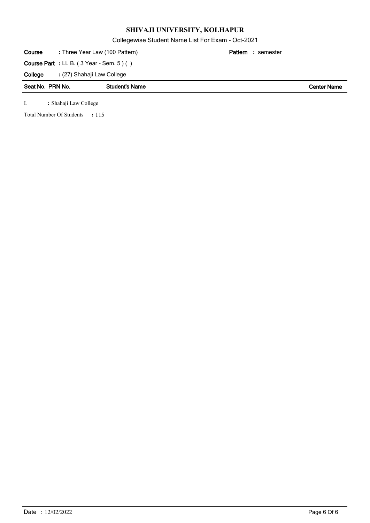Collegewise Student Name List For Exam - Oct-2021

| Course                                         | : Three Year Law (100 Pattern) |                       | Pattern<br>: semester |                    |  |
|------------------------------------------------|--------------------------------|-----------------------|-----------------------|--------------------|--|
| <b>Course Part</b> : LL B. (3 Year - Sem. 5)() |                                |                       |                       |                    |  |
| College                                        | : (27) Shahaji Law College     |                       |                       |                    |  |
|                                                | Seat No. PRN No.               | <b>Student's Name</b> |                       | <b>Center Name</b> |  |
| L                                              | : Shahaji Law College          |                       |                       |                    |  |

Total Number Of Students : 115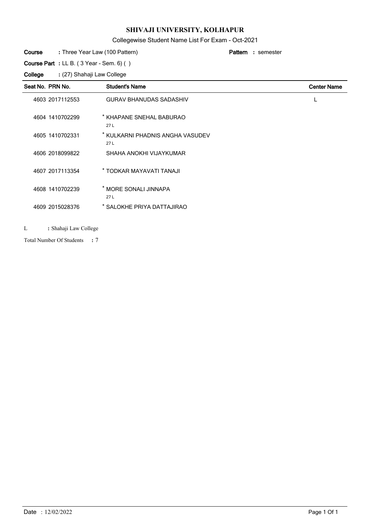# Collegewise Student Name List For Exam - Oct-2021

#### Three Year Law (100 Pattern) **: Pattern Course**

**Course Part :** LL B. ( 3 Year - Sem. 6) ( )

(27) Shahaji Law College **: College**

| Seat No. PRN No. | <b>Student's Name</b>                   | <b>Center Name</b> |
|------------------|-----------------------------------------|--------------------|
| 4603 2017112553  | <b>GURAV BHANUDAS SADASHIV</b>          |                    |
| 4604 1410702299  | * KHAPANE SNEHAL BABURAO<br>27L         |                    |
| 4605 1410702331  | * KULKARNI PHADNIS ANGHA VASUDEV<br>27L |                    |
| 4606 2018099822  | SHAHA ANOKHI VIJAYKUMAR                 |                    |
| 4607 2017113354  | * TODKAR MAYAVATI TANAJI                |                    |
| 4608 1410702239  | MORE SONALI JINNAPA<br>27L              |                    |
| 4609 2015028376  | SALOKHE PRIYA DATTAJIRAO                |                    |

#### L **:** Shahaji Law College

7 Total Number Of Students **:**

semester **:**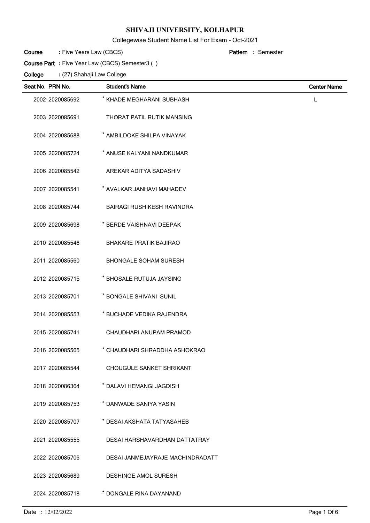## Collegewise Student Name List For Exam - Oct-2021

Semester **:**

Five Years Law (CBCS) **: Pattern Course**

**Course Part :** Five Year Law (CBCS) Semester3 ( )

| Seat No. PRN No. | <b>Student's Name</b>             | <b>Center Name</b> |
|------------------|-----------------------------------|--------------------|
| 2002 2020085692  | * KHADE MEGHARANI SUBHASH         | L                  |
| 2003 2020085691  | <b>THORAT PATIL RUTIK MANSING</b> |                    |
| 2004 2020085688  | * AMBILDOKE SHILPA VINAYAK        |                    |
| 2005 2020085724  | * ANUSE KALYANI NANDKUMAR         |                    |
| 2006 2020085542  | AREKAR ADITYA SADASHIV            |                    |
| 2007 2020085541  | * AVALKAR JANHAVI MAHADEV         |                    |
| 2008 2020085744  | <b>BAIRAGI RUSHIKESH RAVINDRA</b> |                    |
| 2009 2020085698  | * BERDE VAISHNAVI DEEPAK          |                    |
| 2010 2020085546  | <b>BHAKARE PRATIK BAJIRAO</b>     |                    |
| 2011 2020085560  | <b>BHONGALE SOHAM SURESH</b>      |                    |
| 2012 2020085715  | * BHOSALE RUTUJA JAYSING          |                    |
| 2013 2020085701  | * BONGALE SHIVANI SUNIL           |                    |
| 2014 2020085553  | * BUCHADE VEDIKA RAJENDRA         |                    |
| 2015 2020085741  | CHAUDHARI ANUPAM PRAMOD           |                    |
| 2016 2020085565  | * CHAUDHARI SHRADDHA ASHOKRAO     |                    |
| 2017 2020085544  | CHOUGULE SANKET SHRIKANT          |                    |
| 2018 2020086364  | * DALAVI HEMANGI JAGDISH          |                    |
| 2019 2020085753  | * DANWADE SANIYA YASIN            |                    |
| 2020 2020085707  | * DESAI AKSHATA TATYASAHEB        |                    |
| 2021 2020085555  | DESAI HARSHAVARDHAN DATTATRAY     |                    |
| 2022 2020085706  | DESAI JANMEJAYRAJE MACHINDRADATT  |                    |
| 2023 2020085689  | <b>DESHINGE AMOL SURESH</b>       |                    |
| 2024 2020085718  | * DONGALE RINA DAYANAND           |                    |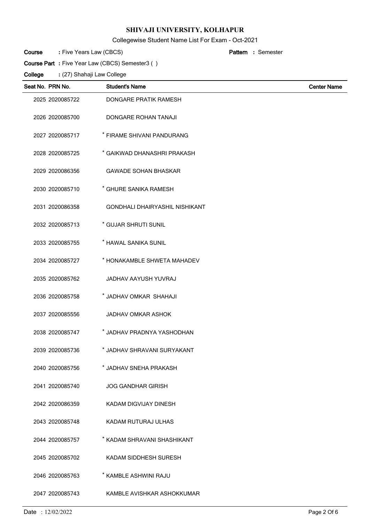Collegewise Student Name List For Exam - Oct-2021

Semester **:**

Five Years Law (CBCS) **: Pattern Course**

**Course Part :** Five Year Law (CBCS) Semester3 ( )

| Seat No. PRN No. | <b>Student's Name</b>                 | <b>Center Name</b> |
|------------------|---------------------------------------|--------------------|
| 2025 2020085722  | DONGARE PRATIK RAMESH                 |                    |
| 2026 2020085700  | <b>DONGARE ROHAN TANAJI</b>           |                    |
| 2027 2020085717  | * FIRAME SHIVANI PANDURANG            |                    |
| 2028 2020085725  | * GAIKWAD DHANASHRI PRAKASH           |                    |
| 2029 2020086356  | <b>GAWADE SOHAN BHASKAR</b>           |                    |
| 2030 2020085710  | * GHURE SANIKA RAMESH                 |                    |
| 2031 2020086358  | <b>GONDHALI DHAIRYASHIL NISHIKANT</b> |                    |
| 2032 2020085713  | * GUJAR SHRUTI SUNIL                  |                    |
| 2033 2020085755  | * HAWAL SANIKA SUNIL                  |                    |
| 2034 2020085727  | * HONAKAMBLE SHWETA MAHADEV           |                    |
| 2035 2020085762  | JADHAV AAYUSH YUVRAJ                  |                    |
| 2036 2020085758  | * JADHAV OMKAR SHAHAJI                |                    |
| 2037 2020085556  | JADHAV OMKAR ASHOK                    |                    |
| 2038 2020085747  | * JADHAV PRADNYA YASHODHAN            |                    |
| 2039 2020085736  | * JADHAV SHRAVANI SURYAKANT           |                    |
| 2040 2020085756  | * JADHAV SNEHA PRAKASH                |                    |
| 2041 2020085740  | <b>JOG GANDHAR GIRISH</b>             |                    |
| 2042 2020086359  | KADAM DIGVIJAY DINESH                 |                    |
| 2043 2020085748  | KADAM RUTURAJ ULHAS                   |                    |
| 2044 2020085757  | * KADAM SHRAVANI SHASHIKANT           |                    |
| 2045 2020085702  | KADAM SIDDHESH SURESH                 |                    |
| 2046 2020085763  | * KAMBLE ASHWINI RAJU                 |                    |
| 2047 2020085743  | KAMBLE AVISHKAR ASHOKKUMAR            |                    |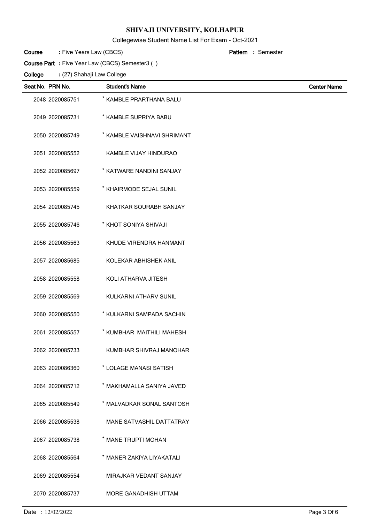## Collegewise Student Name List For Exam - Oct-2021

Semester **:**

Five Years Law (CBCS) **: Pattern Course**

**Course Part :** Five Year Law (CBCS) Semester3 ( )

| Seat No. PRN No. | <b>Student's Name</b>       | <b>Center Name</b> |
|------------------|-----------------------------|--------------------|
| 2048 2020085751  | * KAMBLE PRARTHANA BALU     |                    |
| 2049 2020085731  | * KAMBLE SUPRIYA BABU       |                    |
| 2050 2020085749  | * KAMBLE VAISHNAVI SHRIMANT |                    |
| 2051 2020085552  | KAMBLE VIJAY HINDURAO       |                    |
| 2052 2020085697  | * KATWARE NANDINI SANJAY    |                    |
| 2053 2020085559  | * KHAIRMODE SEJAL SUNIL     |                    |
| 2054 2020085745  | KHATKAR SOURABH SANJAY      |                    |
| 2055 2020085746  | * KHOT SONIYA SHIVAJI       |                    |
| 2056 2020085563  | KHUDE VIRENDRA HANMANT      |                    |
| 2057 2020085685  | KOLEKAR ABHISHEK ANIL       |                    |
| 2058 2020085558  | KOLI ATHARVA JITESH         |                    |
| 2059 2020085569  | KULKARNI ATHARV SUNIL       |                    |
| 2060 2020085550  | * KULKARNI SAMPADA SACHIN   |                    |
| 2061 2020085557  | * KUMBHAR MAITHILI MAHESH   |                    |
| 2062 2020085733  | KUMBHAR SHIVRAJ MANOHAR     |                    |
| 2063 2020086360  | * LOLAGE MANASI SATISH      |                    |
| 2064 2020085712  | * MAKHAMALLA SANIYA JAVED   |                    |
| 2065 2020085549  | * MALVADKAR SONAL SANTOSH   |                    |
| 2066 2020085538  | MANE SATVASHIL DATTATRAY    |                    |
| 2067 2020085738  | * MANE TRUPTI MOHAN         |                    |
| 2068 2020085564  | * MANER ZAKIYA LIYAKATALI   |                    |
| 2069 2020085554  | MIRAJKAR VEDANT SANJAY      |                    |
| 2070 2020085737  | MORE GANADHISH UTTAM        |                    |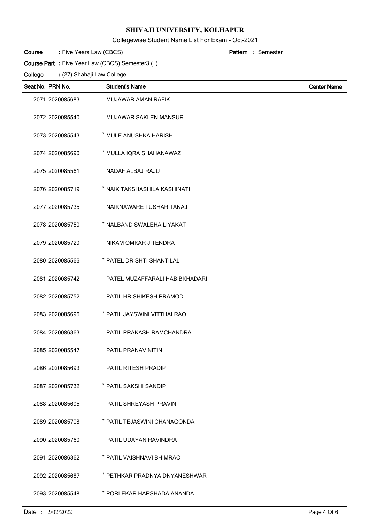## Collegewise Student Name List For Exam - Oct-2021

Semester **:**

Five Years Law (CBCS) **: Pattern Course**

**Course Part :** Five Year Law (CBCS) Semester3 ( )

| Seat No. PRN No. | <b>Student's Name</b>          | <b>Center Name</b> |
|------------------|--------------------------------|--------------------|
| 2071 2020085683  | MUJAWAR AMAN RAFIK             |                    |
| 2072 2020085540  | MUJAWAR SAKLEN MANSUR          |                    |
| 2073 2020085543  | * MULE ANUSHKA HARISH          |                    |
| 2074 2020085690  | * MULLA IQRA SHAHANAWAZ        |                    |
| 2075 2020085561  | NADAF ALBAJ RAJU               |                    |
| 2076 2020085719  | * NAIK TAKSHASHILA KASHINATH   |                    |
| 2077 2020085735  | NAIKNAWARE TUSHAR TANAJI       |                    |
| 2078 2020085750  | * NALBAND SWALEHA LIYAKAT      |                    |
| 2079 2020085729  | NIKAM OMKAR JITENDRA           |                    |
| 2080 2020085566  | * PATEL DRISHTI SHANTILAL      |                    |
| 2081 2020085742  | PATEL MUZAFFARALI HABIBKHADARI |                    |
| 2082 2020085752  | PATIL HRISHIKESH PRAMOD        |                    |
| 2083 2020085696  | * PATIL JAYSWINI VITTHALRAO    |                    |
| 2084 2020086363  | PATIL PRAKASH RAMCHANDRA       |                    |
| 2085 2020085547  | <b>PATIL PRANAV NITIN</b>      |                    |
| 2086 2020085693  | <b>PATIL RITESH PRADIP</b>     |                    |
| 2087 2020085732  | * PATIL SAKSHI SANDIP          |                    |
| 2088 2020085695  | PATIL SHREYASH PRAVIN          |                    |
| 2089 2020085708  | * PATIL TEJASWINI CHANAGONDA   |                    |
| 2090 2020085760  | PATIL UDAYAN RAVINDRA          |                    |
| 2091 2020086362  | * PATIL VAISHNAVI BHIMRAO      |                    |
| 2092 2020085687  | * PETHKAR PRADNYA DNYANESHWAR  |                    |
| 2093 2020085548  | * PORLEKAR HARSHADA ANANDA     |                    |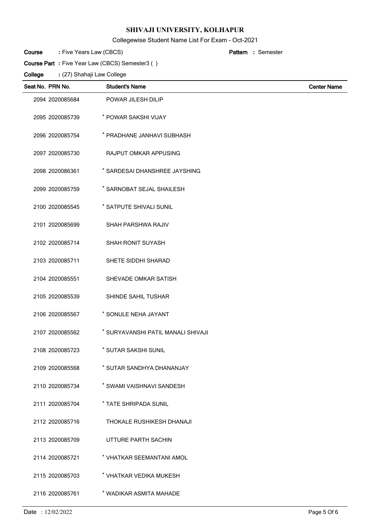## Collegewise Student Name List For Exam - Oct-2021

Five Years Law (CBCS) **: Pattern Course**

Semester **:**

**Course Part :** Five Year Law (CBCS) Semester3 ( )

| Seat No. PRN No. | <b>Student's Name</b>              | <b>Center Name</b> |
|------------------|------------------------------------|--------------------|
| 2094 2020085684  | POWAR JILESH DILIP                 |                    |
| 2095 2020085739  | * POWAR SAKSHI VIJAY               |                    |
| 2096 2020085754  | * PRADHANE JANHAVI SUBHASH         |                    |
| 2097 2020085730  | RAJPUT OMKAR APPUSING              |                    |
| 2098 2020086361  | * SARDESAI DHANSHREE JAYSHING      |                    |
| 2099 2020085759  | * SARNOBAT SEJAL SHAILESH          |                    |
| 2100 2020085545  | * SATPUTE SHIVALI SUNIL            |                    |
| 2101 2020085699  | SHAH PARSHWA RAJIV                 |                    |
| 2102 2020085714  | SHAH RONIT SUYASH                  |                    |
| 2103 2020085711  | SHETE SIDDHI SHARAD                |                    |
| 2104 2020085551  | SHEVADE OMKAR SATISH               |                    |
| 2105 2020085539  | SHINDE SAHIL TUSHAR                |                    |
| 2106 2020085567  | * SONULE NEHA JAYANT               |                    |
| 2107 2020085562  | * SURYAVANSHI PATIL MANALI SHIVAJI |                    |
| 2108 2020085723  | * SUTAR SAKSHI SUNIL               |                    |
| 2109 2020085568  | * SUTAR SANDHYA DHANANJAY          |                    |
| 2110 2020085734  | * SWAMI VAISHNAVI SANDESH          |                    |
| 2111 2020085704  | * TATE SHRIPADA SUNIL              |                    |
| 2112 2020085716  | THOKALE RUSHIKESH DHANAJI          |                    |
| 2113 2020085709  | UTTURE PARTH SACHIN                |                    |
| 2114 2020085721  | * VHATKAR SEEMANTANI AMOL          |                    |
| 2115 2020085703  | * VHATKAR VEDIKA MUKESH            |                    |
| 2116 2020085761  | * WADIKAR ASMITA MAHADE            |                    |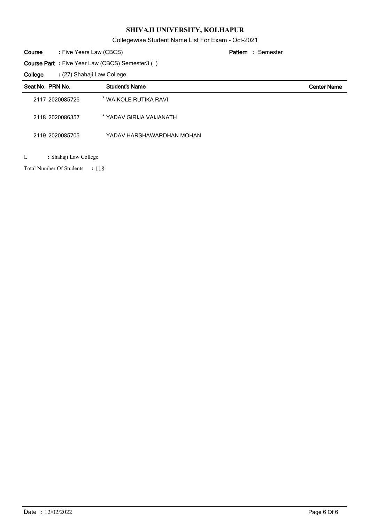Collegewise Student Name List For Exam - Oct-2021

Semester **:**

Five Years Law (CBCS) **: Pattern Course**

**Course Part :** Five Year Law (CBCS) Semester3 ( )

(27) Shahaji Law College **: College**

| Seat No. PRN No. | <b>Student's Name</b>     | <b>Center Name</b> |
|------------------|---------------------------|--------------------|
| 2117 2020085726  | * WAIKOLE RUTIKA RAVI     |                    |
| 2118 2020086357  | * YADAV GIRIJA VAIJANATH  |                    |
| 2119 2020085705  | YADAV HARSHAWARDHAN MOHAN |                    |
|                  |                           |                    |

L **:** Shahaji Law College

Total Number Of Students : 118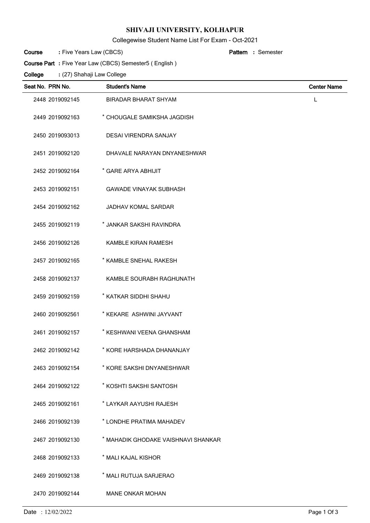Collegewise Student Name List For Exam - Oct-2021

Five Years Law (CBCS) **: Pattern Course**

Semester **:**

**Course Part :** Five Year Law (CBCS) Semester5 ( English )

| Seat No. PRN No. | <b>Student's Name</b>               | <b>Center Name</b> |
|------------------|-------------------------------------|--------------------|
| 2448 2019092145  | <b>BIRADAR BHARAT SHYAM</b>         | L                  |
| 2449 2019092163  | * CHOUGALE SAMIKSHA JAGDISH         |                    |
| 2450 2019093013  | DESAI VIRENDRA SANJAY               |                    |
| 2451 2019092120  | DHAVALE NARAYAN DNYANESHWAR         |                    |
| 2452 2019092164  | * GARE ARYA ABHIJIT                 |                    |
| 2453 2019092151  | <b>GAWADE VINAYAK SUBHASH</b>       |                    |
| 2454 2019092162  | JADHAV KOMAL SARDAR                 |                    |
| 2455 2019092119  | * JANKAR SAKSHI RAVINDRA            |                    |
| 2456 2019092126  | <b>KAMBLE KIRAN RAMESH</b>          |                    |
| 2457 2019092165  | * KAMBLE SNEHAL RAKESH              |                    |
| 2458 2019092137  | KAMBLE SOURABH RAGHUNATH            |                    |
| 2459 2019092159  | * KATKAR SIDDHI SHAHU               |                    |
| 2460 2019092561  | * KEKARE ASHWINI JAYVANT            |                    |
| 2461 2019092157  | * KESHWANI VEENA GHANSHAM           |                    |
| 2462 2019092142  | * KORE HARSHADA DHANANJAY           |                    |
| 2463 2019092154  | * KORE SAKSHI DNYANESHWAR           |                    |
| 2464 2019092122  | * KOSHTI SAKSHI SANTOSH             |                    |
| 2465 2019092161  | * LAYKAR AAYUSHI RAJESH             |                    |
| 2466 2019092139  | * LONDHE PRATIMA MAHADEV            |                    |
| 2467 2019092130  | * MAHADIK GHODAKE VAISHNAVI SHANKAR |                    |
| 2468 2019092133  | * MALI KAJAL KISHOR                 |                    |
| 2469 2019092138  | * MALI RUTUJA SARJERAO              |                    |
| 2470 2019092144  | <b>MANE ONKAR MOHAN</b>             |                    |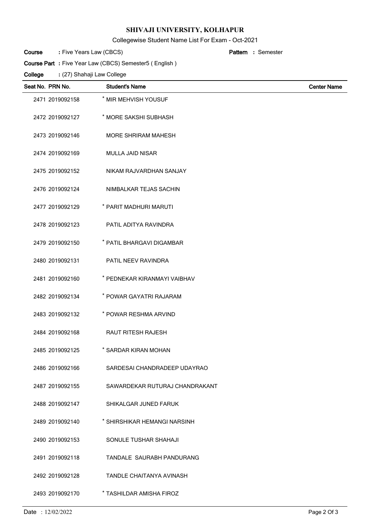## Collegewise Student Name List For Exam - Oct-2021

Five Years Law (CBCS) **: Pattern Course**

Semester **:**

**Course Part :** Five Year Law (CBCS) Semester5 ( English )

| Seat No. PRN No. | <b>Student's Name</b>          | <b>Center Name</b> |
|------------------|--------------------------------|--------------------|
| 2471 2019092158  | * MIR MEHVISH YOUSUF           |                    |
| 2472 2019092127  | * MORE SAKSHI SUBHASH          |                    |
| 2473 2019092146  | <b>MORE SHRIRAM MAHESH</b>     |                    |
| 2474 2019092169  | <b>MULLA JAID NISAR</b>        |                    |
| 2475 2019092152  | NIKAM RAJVARDHAN SANJAY        |                    |
| 2476 2019092124  | NIMBALKAR TEJAS SACHIN         |                    |
| 2477 2019092129  | * PARIT MADHURI MARUTI         |                    |
| 2478 2019092123  | PATIL ADITYA RAVINDRA          |                    |
| 2479 2019092150  | * PATIL BHARGAVI DIGAMBAR      |                    |
| 2480 2019092131  | PATIL NEEV RAVINDRA            |                    |
| 2481 2019092160  | * PEDNEKAR KIRANMAYI VAIBHAV   |                    |
| 2482 2019092134  | * POWAR GAYATRI RAJARAM        |                    |
| 2483 2019092132  | * POWAR RESHMA ARVIND          |                    |
| 2484 2019092168  | <b>RAUT RITESH RAJESH</b>      |                    |
| 2485 2019092125  | * SARDAR KIRAN MOHAN           |                    |
| 2486 2019092166  | SARDESAI CHANDRADEEP UDAYRAO   |                    |
| 2487 2019092155  | SAWARDEKAR RUTURAJ CHANDRAKANT |                    |
| 2488 2019092147  | SHIKALGAR JUNED FARUK          |                    |
| 2489 2019092140  | * SHIRSHIKAR HEMANGI NARSINH   |                    |
| 2490 2019092153  | SONULE TUSHAR SHAHAJI          |                    |
| 2491 2019092118  | TANDALE SAURABH PANDURANG      |                    |
| 2492 2019092128  | TANDLE CHAITANYA AVINASH       |                    |
| 2493 2019092170  | * TASHILDAR AMISHA FIROZ       |                    |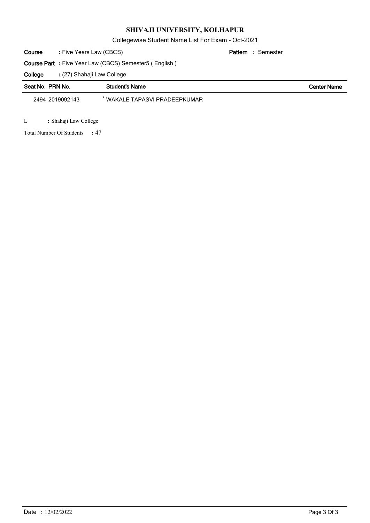Collegewise Student Name List For Exam - Oct-2021

Five Years Law (CBCS) **: Pattern Course**

Semester **:**

**Course Part :** Five Year Law (CBCS) Semester5 ( English )

(27) Shahaji Law College **: College**

| Seat No. PRN No. | <b>Student's Name</b>         | <b>Center Name</b> |
|------------------|-------------------------------|--------------------|
| 2494 2019092143  | * WAKALE TAPASVI PRADEEPKUMAR |                    |

L **:** Shahaji Law College

47 Total Number Of Students **:**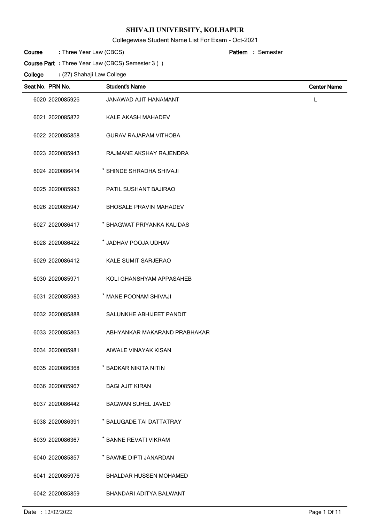Collegewise Student Name List For Exam - Oct-2021

| Course | : Three Year Law (CBCS) | <b>Pattern</b> : Semester |
|--------|-------------------------|---------------------------|
|--------|-------------------------|---------------------------|

**Course Part :** Three Year Law (CBCS) Semester 3 ( )

| Seat No. PRN No. | <b>Student's Name</b>         | <b>Center Name</b> |
|------------------|-------------------------------|--------------------|
| 6020 2020085926  | JANAWAD AJIT HANAMANT         | $\mathsf{L}$       |
| 6021 2020085872  | KALE AKASH MAHADEV            |                    |
| 6022 2020085858  | <b>GURAV RAJARAM VITHOBA</b>  |                    |
| 6023 2020085943  | RAJMANE AKSHAY RAJENDRA       |                    |
| 6024 2020086414  | * SHINDE SHRADHA SHIVAJI      |                    |
| 6025 2020085993  | <b>PATIL SUSHANT BAJIRAO</b>  |                    |
| 6026 2020085947  | <b>BHOSALE PRAVIN MAHADEV</b> |                    |
| 6027 2020086417  | * BHAGWAT PRIYANKA KALIDAS    |                    |
| 6028 2020086422  | * JADHAV POOJA UDHAV          |                    |
| 6029 2020086412  | KALE SUMIT SARJERAO           |                    |
| 6030 2020085971  | KOLI GHANSHYAM APPASAHEB      |                    |
| 6031 2020085983  | * MANE POONAM SHIVAJI         |                    |
| 6032 2020085888  | SALUNKHE ABHIJEET PANDIT      |                    |
| 6033 2020085863  | ABHYANKAR MAKARAND PRABHAKAR  |                    |
| 6034 2020085981  | AIWALE VINAYAK KISAN          |                    |
| 6035 2020086368  | * BADKAR NIKITA NITIN         |                    |
| 6036 2020085967  | <b>BAGI AJIT KIRAN</b>        |                    |
| 6037 2020086442  | <b>BAGWAN SUHEL JAVED</b>     |                    |
| 6038 2020086391  | * BALUGADE TAI DATTATRAY      |                    |
| 6039 2020086367  | * BANNE REVATI VIKRAM         |                    |
| 6040 2020085857  | * BAWNE DIPTI JANARDAN        |                    |
| 6041 2020085976  | <b>BHALDAR HUSSEN MOHAMED</b> |                    |
| 6042 2020085859  | BHANDARI ADITYA BALWANT       |                    |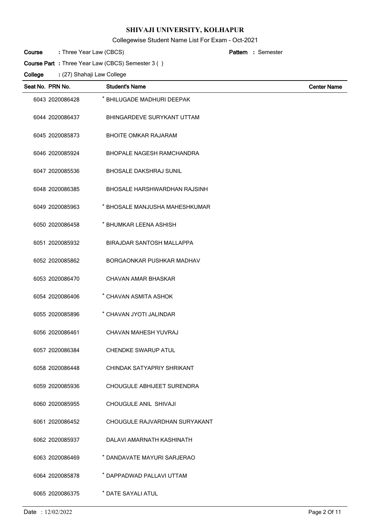Collegewise Student Name List For Exam - Oct-2021

| : Three Year Law (CBCS)<br>Course<br><b>Pattern</b> : Semester |  |
|----------------------------------------------------------------|--|
|----------------------------------------------------------------|--|

(27) Shahaji Law College **: Course Part :** Three Year Law (CBCS) Semester 3 ( ) **College**

| Seat No. PRN No. | <b>Student's Name</b>               | <b>Center Name</b> |
|------------------|-------------------------------------|--------------------|
| 6043 2020086428  | * BHILUGADE MADHURI DEEPAK          |                    |
| 6044 2020086437  | BHINGARDEVE SURYKANT UTTAM          |                    |
| 6045 2020085873  | <b>BHOITE OMKAR RAJARAM</b>         |                    |
| 6046 2020085924  | <b>BHOPALE NAGESH RAMCHANDRA</b>    |                    |
| 6047 2020085536  | <b>BHOSALE DAKSHRAJ SUNIL</b>       |                    |
| 6048 2020086385  | <b>BHOSALE HARSHWARDHAN RAJSINH</b> |                    |
| 6049 2020085963  | * BHOSALE MANJUSHA MAHESHKUMAR      |                    |
| 6050 2020086458  | * BHUMKAR LEENA ASHISH              |                    |
| 6051 2020085932  | <b>BIRAJDAR SANTOSH MALLAPPA</b>    |                    |
| 6052 2020085862  | BORGAONKAR PUSHKAR MADHAV           |                    |
| 6053 2020086470  | CHAVAN AMAR BHASKAR                 |                    |
| 6054 2020086406  | * CHAVAN ASMITA ASHOK               |                    |
| 6055 2020085896  | * CHAVAN JYOTI JALINDAR             |                    |
| 6056 2020086461  | CHAVAN MAHESH YUVRAJ                |                    |
| 6057 2020086384  | <b>CHENDKE SWARUP ATUL</b>          |                    |
| 6058 2020086448  | CHINDAK SATYAPRIY SHRIKANT          |                    |
| 6059 2020085936  | CHOUGULE ABHIJEET SURENDRA          |                    |
| 6060 2020085955  | CHOUGULE ANIL SHIVAJI               |                    |
| 6061 2020086452  | CHOUGULE RAJVARDHAN SURYAKANT       |                    |
| 6062 2020085937  | DALAVI AMARNATH KASHINATH           |                    |
| 6063 2020086469  | * DANDAVATE MAYURI SARJERAO         |                    |
| 6064 2020085878  | * DAPPADWAD PALLAVI UTTAM           |                    |
| 6065 2020086375  | * DATE SAYALI ATUL                  |                    |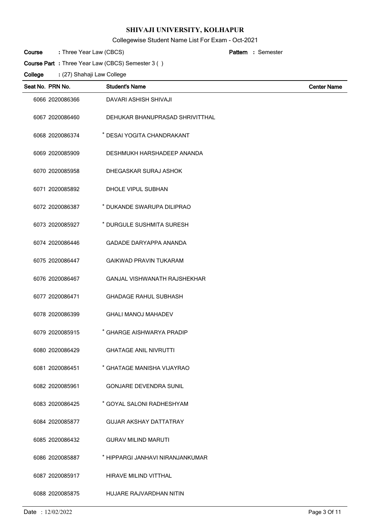Collegewise Student Name List For Exam - Oct-2021

| Course | : Three Year Law (CBCS) | <b>Pattern</b> : Semester |
|--------|-------------------------|---------------------------|
|--------|-------------------------|---------------------------|

**Course Part :** Three Year Law (CBCS) Semester 3 ( )

| Seat No. PRN No. | <b>Student's Name</b>            | <b>Center Name</b> |
|------------------|----------------------------------|--------------------|
| 6066 2020086366  | DAVARI ASHISH SHIVAJI            |                    |
| 6067 2020086460  | DEHUKAR BHANUPRASAD SHRIVITTHAL  |                    |
| 6068 2020086374  | * DESAI YOGITA CHANDRAKANT       |                    |
| 6069 2020085909  | DESHMUKH HARSHADEEP ANANDA       |                    |
| 6070 2020085958  | DHEGASKAR SURAJ ASHOK            |                    |
| 6071 2020085892  | DHOLE VIPUL SUBHAN               |                    |
| 6072 2020086387  | * DUKANDE SWARUPA DILIPRAO       |                    |
| 6073 2020085927  | * DURGULE SUSHMITA SURESH        |                    |
| 6074 2020086446  | <b>GADADE DARYAPPA ANANDA</b>    |                    |
| 6075 2020086447  | <b>GAIKWAD PRAVIN TUKARAM</b>    |                    |
| 6076 2020086467  | GANJAL VISHWANATH RAJSHEKHAR     |                    |
| 6077 2020086471  | <b>GHADAGE RAHUL SUBHASH</b>     |                    |
| 6078 2020086399  | <b>GHALI MANOJ MAHADEV</b>       |                    |
| 6079 2020085915  | * GHARGE AISHWARYA PRADIP        |                    |
| 6080 2020086429  | <b>GHATAGE ANIL NIVRUTTI</b>     |                    |
| 6081 2020086451  | * GHATAGE MANISHA VIJAYRAO       |                    |
| 6082 2020085961  | <b>GONJARE DEVENDRA SUNIL</b>    |                    |
| 6083 2020086425  | * GOYAL SALONI RADHESHYAM        |                    |
| 6084 2020085877  | <b>GUJAR AKSHAY DATTATRAY</b>    |                    |
| 6085 2020086432  | <b>GURAV MILIND MARUTI</b>       |                    |
| 6086 2020085887  | * HIPPARGI JANHAVI NIRANJANKUMAR |                    |
| 6087 2020085917  | <b>HIRAVE MILIND VITTHAL</b>     |                    |
| 6088 2020085875  | HUJARE RAJVARDHAN NITIN          |                    |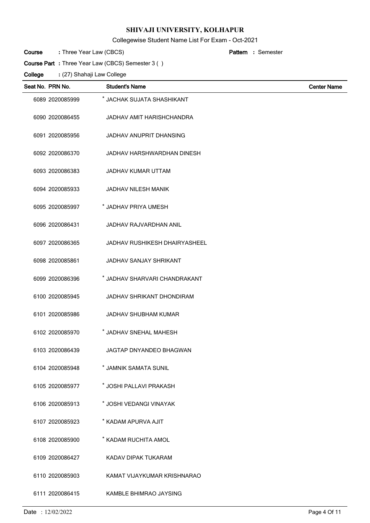Collegewise Student Name List For Exam - Oct-2021

| Course | : Three Year Law (CBCS) |  | <b>Pattern</b> : Semester |
|--------|-------------------------|--|---------------------------|
|        |                         |  |                           |

**Course Part :** Three Year Law (CBCS) Semester 3 ( )

| Seat No. PRN No. |                 | <b>Student's Name</b>                | <b>Center Name</b> |
|------------------|-----------------|--------------------------------------|--------------------|
|                  | 6089 2020085999 | * JACHAK SUJATA SHASHIKANT           |                    |
|                  | 6090 2020086455 | JADHAV AMIT HARISHCHANDRA            |                    |
|                  | 6091 2020085956 | <b>JADHAV ANUPRIT DHANSING</b>       |                    |
|                  | 6092 2020086370 | JADHAV HARSHWARDHAN DINESH           |                    |
|                  | 6093 2020086383 | JADHAV KUMAR UTTAM                   |                    |
|                  | 6094 2020085933 | JADHAV NILESH MANIK                  |                    |
|                  | 6095 2020085997 | * JADHAV PRIYA UMESH                 |                    |
|                  | 6096 2020086431 | <b>JADHAV RAJVARDHAN ANIL</b>        |                    |
|                  | 6097 2020086365 | <b>JADHAV RUSHIKESH DHAIRYASHEEL</b> |                    |
|                  | 6098 2020085861 | <b>JADHAV SANJAY SHRIKANT</b>        |                    |
|                  | 6099 2020086396 | * JADHAV SHARVARI CHANDRAKANT        |                    |
|                  | 6100 2020085945 | <b>JADHAV SHRIKANT DHONDIRAM</b>     |                    |
|                  | 6101 2020085986 | <b>JADHAV SHUBHAM KUMAR</b>          |                    |
|                  | 6102 2020085970 | * JADHAV SNEHAL MAHESH               |                    |
|                  | 6103 2020086439 | <b>JAGTAP DNYANDEO BHAGWAN</b>       |                    |
|                  | 6104 2020085948 | * JAMNIK SAMATA SUNIL                |                    |
|                  | 6105 2020085977 | * JOSHI PALLAVI PRAKASH              |                    |
|                  | 6106 2020085913 | * JOSHI VEDANGI VINAYAK              |                    |
|                  | 6107 2020085923 | * KADAM APURVA AJIT                  |                    |
|                  | 6108 2020085900 | * KADAM RUCHITA AMOL                 |                    |
|                  | 6109 2020086427 | KADAV DIPAK TUKARAM                  |                    |
|                  | 6110 2020085903 | KAMAT VIJAYKUMAR KRISHNARAO          |                    |
|                  | 6111 2020086415 | KAMBLE BHIMRAO JAYSING               |                    |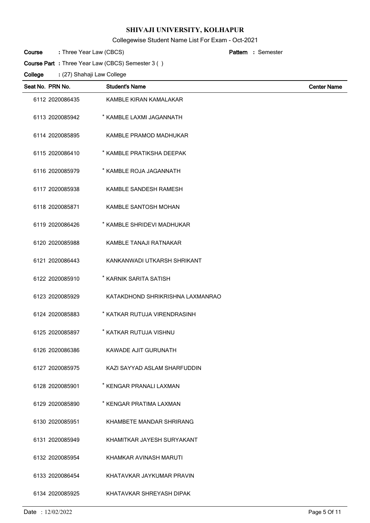Collegewise Student Name List For Exam - Oct-2021

| Course | : Three Year Law (CBCS) | <b>Pattern</b> : Semester |
|--------|-------------------------|---------------------------|
|--------|-------------------------|---------------------------|

**Course Part :** Three Year Law (CBCS) Semester 3 ( )

| Seat No. PRN No. | <b>Student's Name</b>            | <b>Center Name</b> |
|------------------|----------------------------------|--------------------|
| 6112 2020086435  | KAMBLE KIRAN KAMALAKAR           |                    |
| 6113 2020085942  | * KAMBLE LAXMI JAGANNATH         |                    |
| 6114 2020085895  | KAMBLE PRAMOD MADHUKAR           |                    |
| 6115 2020086410  | * KAMBLE PRATIKSHA DEEPAK        |                    |
| 6116 2020085979  | * KAMBLE ROJA JAGANNATH          |                    |
| 6117 2020085938  | KAMBLE SANDESH RAMESH            |                    |
| 6118 2020085871  | KAMBLE SANTOSH MOHAN             |                    |
| 6119 2020086426  | * KAMBLE SHRIDEVI MADHUKAR       |                    |
| 6120 2020085988  | KAMBLE TANAJI RATNAKAR           |                    |
| 6121 2020086443  | KANKANWADI UTKARSH SHRIKANT      |                    |
| 6122 2020085910  | * KARNIK SARITA SATISH           |                    |
| 6123 2020085929  | KATAKDHOND SHRIKRISHNA LAXMANRAO |                    |
| 6124 2020085883  | * KATKAR RUTUJA VIRENDRASINH     |                    |
| 6125 2020085897  | * KATKAR RUTUJA VISHNU           |                    |
| 6126 2020086386  | KAWADE AJIT GURUNATH             |                    |
| 6127 2020085975  | KAZI SAYYAD ASLAM SHARFUDDIN     |                    |
| 6128 2020085901  | * KENGAR PRANALI LAXMAN          |                    |
| 6129 2020085890  | * KENGAR PRATIMA LAXMAN          |                    |
| 6130 2020085951  | KHAMBETE MANDAR SHRIRANG         |                    |
| 6131 2020085949  | KHAMITKAR JAYESH SURYAKANT       |                    |
| 6132 2020085954  | KHAMKAR AVINASH MARUTI           |                    |
| 6133 2020086454  | KHATAVKAR JAYKUMAR PRAVIN        |                    |
| 6134 2020085925  | KHATAVKAR SHREYASH DIPAK         |                    |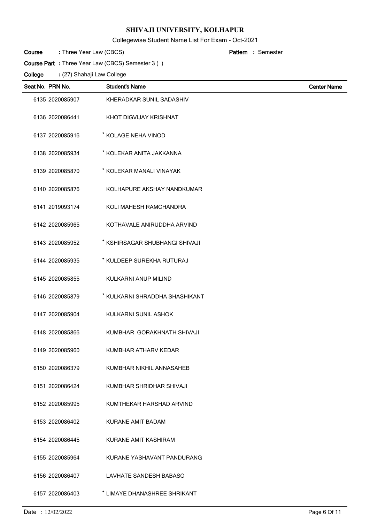Collegewise Student Name List For Exam - Oct-2021

| Course | : Three Year Law (CBCS) | <b>Pattern</b> : Semester |
|--------|-------------------------|---------------------------|
|--------|-------------------------|---------------------------|

**Course Part :** Three Year Law (CBCS) Semester 3 ( )

| Seat No. PRN No. | <b>Student's Name</b>          | <b>Center Name</b> |
|------------------|--------------------------------|--------------------|
| 6135 2020085907  | KHERADKAR SUNIL SADASHIV       |                    |
| 6136 2020086441  | KHOT DIGVIJAY KRISHNAT         |                    |
| 6137 2020085916  | * KOLAGE NEHA VINOD            |                    |
| 6138 2020085934  | * KOLEKAR ANITA JAKKANNA       |                    |
| 6139 2020085870  | * KOLEKAR MANALI VINAYAK       |                    |
| 6140 2020085876  | KOLHAPURE AKSHAY NANDKUMAR     |                    |
| 6141 2019093174  | KOLI MAHESH RAMCHANDRA         |                    |
| 6142 2020085965  | KOTHAVALE ANIRUDDHA ARVIND     |                    |
| 6143 2020085952  | * KSHIRSAGAR SHUBHANGI SHIVAJI |                    |
| 6144 2020085935  | * KULDEEP SUREKHA RUTURAJ      |                    |
| 6145 2020085855  | KULKARNI ANUP MILIND           |                    |
| 6146 2020085879  | * KULKARNI SHRADDHA SHASHIKANT |                    |
| 6147 2020085904  | KULKARNI SUNIL ASHOK           |                    |
| 6148 2020085866  | KUMBHAR GORAKHNATH SHIVAJI     |                    |
| 6149 2020085960  | KUMBHAR ATHARV KEDAR           |                    |
| 6150 2020086379  | KUMBHAR NIKHIL ANNASAHEB       |                    |
| 6151 2020086424  | KUMBHAR SHRIDHAR SHIVAJI       |                    |
| 6152 2020085995  | KUMTHEKAR HARSHAD ARVIND       |                    |
| 6153 2020086402  | <b>KURANE AMIT BADAM</b>       |                    |
| 6154 2020086445  | KURANE AMIT KASHIRAM           |                    |
| 6155 2020085964  | KURANE YASHAVANT PANDURANG     |                    |
| 6156 2020086407  | LAVHATE SANDESH BABASO         |                    |
| 6157 2020086403  | * LIMAYE DHANASHREE SHRIKANT   |                    |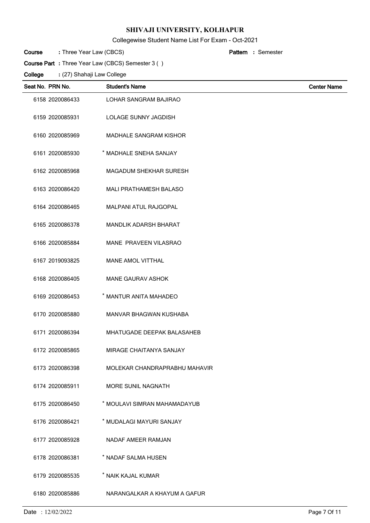Collegewise Student Name List For Exam - Oct-2021

| Course | : Three Year Law (CBCS) | <b>Pattern</b> : Semester |
|--------|-------------------------|---------------------------|
|--------|-------------------------|---------------------------|

**Course Part :** Three Year Law (CBCS) Semester 3 ( )

| Seat No. PRN No. | <b>Student's Name</b>         | <b>Center Name</b> |
|------------------|-------------------------------|--------------------|
| 6158 2020086433  | LOHAR SANGRAM BAJIRAO         |                    |
| 6159 2020085931  | LOLAGE SUNNY JAGDISH          |                    |
| 6160 2020085969  | MADHALE SANGRAM KISHOR        |                    |
| 6161 2020085930  | * MADHALE SNEHA SANJAY        |                    |
| 6162 2020085968  | <b>MAGADUM SHEKHAR SURESH</b> |                    |
| 6163 2020086420  | MALI PRATHAMESH BALASO        |                    |
| 6164 2020086465  | MALPANI ATUL RAJGOPAL         |                    |
| 6165 2020086378  | MANDLIK ADARSH BHARAT         |                    |
| 6166 2020085884  | MANE PRAVEEN VILASRAO         |                    |
| 6167 2019093825  | MANE AMOL VITTHAL             |                    |
| 6168 2020086405  | <b>MANE GAURAV ASHOK</b>      |                    |
| 6169 2020086453  | * MANTUR ANITA MAHADEO        |                    |
| 6170 2020085880  | MANVAR BHAGWAN KUSHABA        |                    |
| 6171 2020086394  | MHATUGADE DEEPAK BALASAHEB    |                    |
| 6172 2020085865  | MIRAGE CHAITANYA SANJAY       |                    |
| 6173 2020086398  | MOLEKAR CHANDRAPRABHU MAHAVIR |                    |
| 6174 2020085911  | MORE SUNIL NAGNATH            |                    |
| 6175 2020086450  | * MOULAVI SIMRAN MAHAMADAYUB  |                    |
| 6176 2020086421  | * MUDALAGI MAYURI SANJAY      |                    |
| 6177 2020085928  | NADAF AMEER RAMJAN            |                    |
| 6178 2020086381  | * NADAF SALMA HUSEN           |                    |
| 6179 2020085535  | * NAIK KAJAL KUMAR            |                    |
| 6180 2020085886  | NARANGALKAR A KHAYUM A GAFUR  |                    |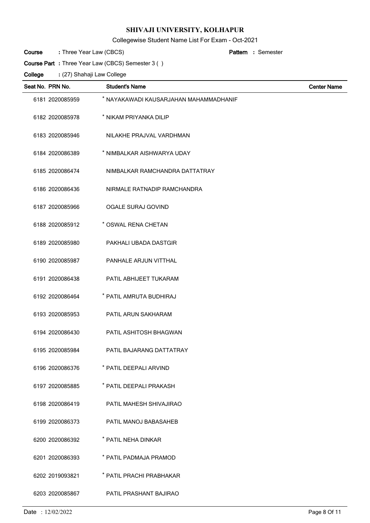## Collegewise Student Name List For Exam - Oct-2021

| : Three Year Law (CBCS)<br>Course<br><b>Pattern</b> : Semester |  |
|----------------------------------------------------------------|--|
|----------------------------------------------------------------|--|

**Course Part :** Three Year Law (CBCS) Semester 3 ( )

| Seat No. PRN No. | <b>Student's Name</b>                  | <b>Center Name</b> |
|------------------|----------------------------------------|--------------------|
| 6181 2020085959  | * NAYAKAWADI KAUSARJAHAN MAHAMMADHANIF |                    |
| 6182 2020085978  | * NIKAM PRIYANKA DILIP                 |                    |
| 6183 2020085946  | NILAKHE PRAJVAL VARDHMAN               |                    |
| 6184 2020086389  | * NIMBALKAR AISHWARYA UDAY             |                    |
| 6185 2020086474  | NIMBALKAR RAMCHANDRA DATTATRAY         |                    |
| 6186 2020086436  | NIRMALE RATNADIP RAMCHANDRA            |                    |
| 6187 2020085966  | <b>OGALE SURAJ GOVIND</b>              |                    |
| 6188 2020085912  | * OSWAL RENA CHETAN                    |                    |
| 6189 2020085980  | PAKHALI UBADA DASTGIR                  |                    |
| 6190 2020085987  | PANHALE ARJUN VITTHAL                  |                    |
| 6191 2020086438  | PATIL ABHIJEET TUKARAM                 |                    |
| 6192 2020086464  | * PATIL AMRUTA BUDHIRAJ                |                    |
| 6193 2020085953  | PATIL ARUN SAKHARAM                    |                    |
| 6194 2020086430  | PATIL ASHITOSH BHAGWAN                 |                    |
| 6195 2020085984  | PATIL BAJARANG DATTATRAY               |                    |
| 6196 2020086376  | * PATIL DEEPALI ARVIND                 |                    |
| 6197 2020085885  | * PATIL DEEPALI PRAKASH                |                    |
| 6198 2020086419  | PATIL MAHESH SHIVAJIRAO                |                    |
| 6199 2020086373  | PATIL MANOJ BABASAHEB                  |                    |
| 6200 2020086392  | * PATIL NEHA DINKAR                    |                    |
| 6201 2020086393  | * PATIL PADMAJA PRAMOD                 |                    |
| 6202 2019093821  | * PATIL PRACHI PRABHAKAR               |                    |
| 6203 2020085867  | PATIL PRASHANT BAJIRAO                 |                    |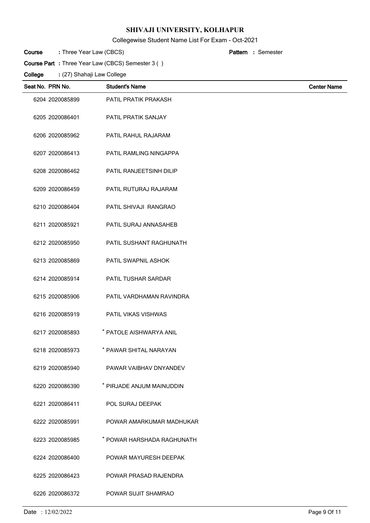Collegewise Student Name List For Exam - Oct-2021

| Course | : Three Year Law (CBCS) | <b>Pattern</b> : Semester |
|--------|-------------------------|---------------------------|
|--------|-------------------------|---------------------------|

**Course Part :** Three Year Law (CBCS) Semester 3 ( )

| Seat No. PRN No. | <b>Student's Name</b>      | <b>Center Name</b> |
|------------------|----------------------------|--------------------|
| 6204 2020085899  | PATIL PRATIK PRAKASH       |                    |
| 6205 2020086401  | PATIL PRATIK SANJAY        |                    |
| 6206 2020085962  | PATIL RAHUL RAJARAM        |                    |
| 6207 2020086413  | PATIL RAMLING NINGAPPA     |                    |
| 6208 2020086462  | PATIL RANJEETSINH DILIP    |                    |
| 6209 2020086459  | PATIL RUTURAJ RAJARAM      |                    |
| 6210 2020086404  | PATIL SHIVAJI RANGRAO      |                    |
| 6211 2020085921  | PATIL SURAJ ANNASAHEB      |                    |
| 6212 2020085950  | PATIL SUSHANT RAGHUNATH    |                    |
| 6213 2020085869  | PATIL SWAPNIL ASHOK        |                    |
| 6214 2020085914  | PATIL TUSHAR SARDAR        |                    |
| 6215 2020085906  | PATIL VARDHAMAN RAVINDRA   |                    |
| 6216 2020085919  | PATIL VIKAS VISHWAS        |                    |
| 6217 2020085893  | * PATOLE AISHWARYA ANIL    |                    |
| 6218 2020085973  | * PAWAR SHITAL NARAYAN     |                    |
| 6219 2020085940  | PAWAR VAIBHAV DNYANDEV     |                    |
| 6220 2020086390  | * PIRJADE ANJUM MAINUDDIN  |                    |
| 6221 2020086411  | POL SURAJ DEEPAK           |                    |
| 6222 2020085991  | POWAR AMARKUMAR MADHUKAR   |                    |
| 6223 2020085985  | * POWAR HARSHADA RAGHUNATH |                    |
| 6224 2020086400  | POWAR MAYURESH DEEPAK      |                    |
| 6225 2020086423  | POWAR PRASAD RAJENDRA      |                    |
| 6226 2020086372  | POWAR SUJIT SHAMRAO        |                    |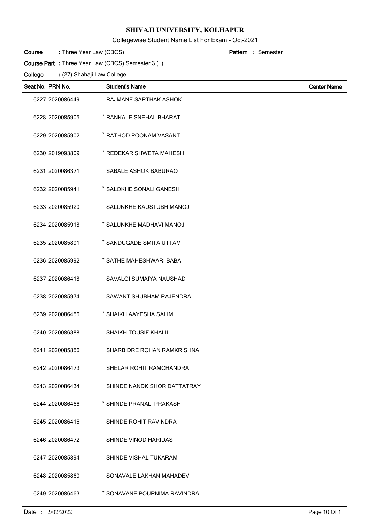Collegewise Student Name List For Exam - Oct-2021

| Course | : Three Year Law (CBCS) | <b>Pattern</b> : Semester |
|--------|-------------------------|---------------------------|
|--------|-------------------------|---------------------------|

**Course Part :** Three Year Law (CBCS) Semester 3 ( )

| Seat No. PRN No. | <b>Student's Name</b>        | <b>Center Name</b> |
|------------------|------------------------------|--------------------|
| 6227 2020086449  | RAJMANE SARTHAK ASHOK        |                    |
| 6228 2020085905  | * RANKALE SNEHAL BHARAT      |                    |
| 6229 2020085902  | * RATHOD POONAM VASANT       |                    |
| 6230 2019093809  | * REDEKAR SHWETA MAHESH      |                    |
| 6231 2020086371  | SABALE ASHOK BABURAO         |                    |
| 6232 2020085941  | * SALOKHE SONALI GANESH      |                    |
| 6233 2020085920  | SALUNKHE KAUSTUBH MANOJ      |                    |
| 6234 2020085918  | * SALUNKHE MADHAVI MANOJ     |                    |
| 6235 2020085891  | * SANDUGADE SMITA UTTAM      |                    |
| 6236 2020085992  | * SATHE MAHESHWARI BABA      |                    |
| 6237 2020086418  | SAVALGI SUMAIYA NAUSHAD      |                    |
| 6238 2020085974  | SAWANT SHUBHAM RAJENDRA      |                    |
| 6239 2020086456  | * SHAIKH AAYESHA SALIM       |                    |
| 6240 2020086388  | <b>SHAIKH TOUSIF KHALIL</b>  |                    |
| 6241 2020085856  | SHARBIDRE ROHAN RAMKRISHNA   |                    |
| 6242 2020086473  | SHELAR ROHIT RAMCHANDRA      |                    |
| 6243 2020086434  | SHINDE NANDKISHOR DATTATRAY  |                    |
| 6244 2020086466  | * SHINDE PRANALI PRAKASH     |                    |
| 6245 2020086416  | <b>SHINDE ROHIT RAVINDRA</b> |                    |
| 6246 2020086472  | SHINDE VINOD HARIDAS         |                    |
| 6247 2020085894  | SHINDE VISHAL TUKARAM        |                    |
| 6248 2020085860  | SONAVALE LAKHAN MAHADEV      |                    |
| 6249 2020086463  | * SONAVANE POURNIMA RAVINDRA |                    |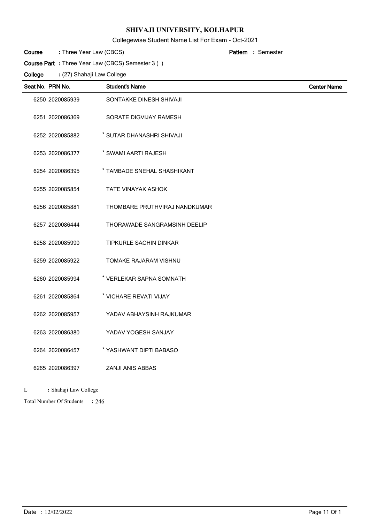Collegewise Student Name List For Exam - Oct-2021

| : Three Year Law (CBCS)<br>Course<br><b>Pattern</b> : Semester |
|----------------------------------------------------------------|
|----------------------------------------------------------------|

**Course Part :** Three Year Law (CBCS) Semester 3 ( )

(27) Shahaji Law College **: College**

| Seat No. PRN No. | <b>Student's Name</b>         | <b>Center Name</b> |
|------------------|-------------------------------|--------------------|
| 6250 2020085939  | SONTAKKE DINESH SHIVAJI       |                    |
| 6251 2020086369  | SORATE DIGVIJAY RAMESH        |                    |
| 6252 2020085882  | * SUTAR DHANASHRI SHIVAJI     |                    |
| 6253 2020086377  | * SWAMI AARTI RAJESH          |                    |
| 6254 2020086395  | * TAMBADE SNEHAL SHASHIKANT   |                    |
| 6255 2020085854  | <b>TATE VINAYAK ASHOK</b>     |                    |
| 6256 2020085881  | THOMBARE PRUTHVIRAJ NANDKUMAR |                    |
| 6257 2020086444  | THORAWADE SANGRAMSINH DEELIP  |                    |
| 6258 2020085990  | <b>TIPKURLE SACHIN DINKAR</b> |                    |
| 6259 2020085922  | <b>TOMAKE RAJARAM VISHNU</b>  |                    |
| 6260 2020085994  | * VERLEKAR SAPNA SOMNATH      |                    |
| 6261 2020085864  | * VICHARE REVATI VIJAY        |                    |
| 6262 2020085957  | YADAV ABHAYSINH RAJKUMAR      |                    |
| 6263 2020086380  | YADAV YOGESH SANJAY           |                    |
| 6264 2020086457  | * YASHWANT DIPTI BABASO       |                    |
| 6265 2020086397  | <b>ZANJI ANIS ABBAS</b>       |                    |
|                  |                               |                    |

L **:** Shahaji Law College

246 Total Number Of Students **:**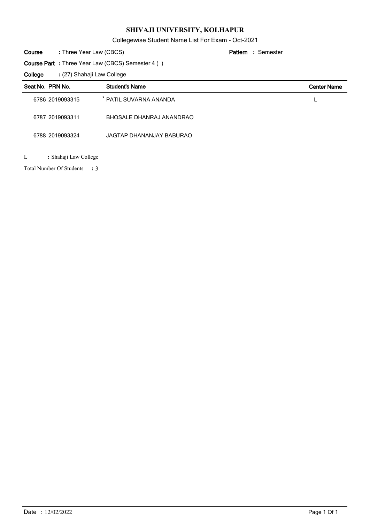Collegewise Student Name List For Exam - Oct-2021

| Course | : Three Year Law (CBCS) | <b>Pattern</b> : Semester |
|--------|-------------------------|---------------------------|
|--------|-------------------------|---------------------------|

**Course Part :** Three Year Law (CBCS) Semester 4 ( )

(27) Shahaji Law College **: College**

| Seat No. PRN No. |                       | <b>Student's Name</b>    | <b>Center Name</b> |
|------------------|-----------------------|--------------------------|--------------------|
|                  | 6786 2019093315       | * PATIL SUVARNA ANANDA   |                    |
|                  | 6787 2019093311       | BHOSALE DHANRAJ ANANDRAO |                    |
|                  | 6788 2019093324       | JAGTAP DHANANJAY BABURAO |                    |
| L                | : Shahaji Law College |                          |                    |

3 Total Number Of Students **:**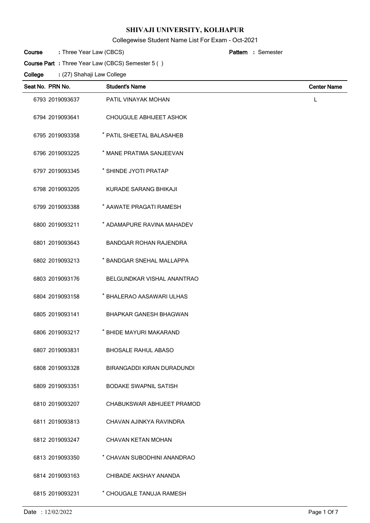Collegewise Student Name List For Exam - Oct-2021

| Course | : Three Year Law (CBCS) | <b>Pattern</b> : Semester |
|--------|-------------------------|---------------------------|
|--------|-------------------------|---------------------------|

**Course Part :** Three Year Law (CBCS) Semester 5 ( )

| Seat No. PRN No. | <b>Student's Name</b>         | <b>Center Name</b> |
|------------------|-------------------------------|--------------------|
| 6793 2019093637  | PATIL VINAYAK MOHAN           | L                  |
| 6794 2019093641  | CHOUGULE ABHIJEET ASHOK       |                    |
| 6795 2019093358  | * PATIL SHEETAL BALASAHEB     |                    |
| 6796 2019093225  | * MANE PRATIMA SANJEEVAN      |                    |
| 6797 2019093345  | * SHINDE JYOTI PRATAP         |                    |
| 6798 2019093205  | KURADE SARANG BHIKAJI         |                    |
| 6799 2019093388  | * AAWATE PRAGATI RAMESH       |                    |
| 6800 2019093211  | * ADAMAPURE RAVINA MAHADEV    |                    |
| 6801 2019093643  | <b>BANDGAR ROHAN RAJENDRA</b> |                    |
| 6802 2019093213  | * BANDGAR SNEHAL MALLAPPA     |                    |
| 6803 2019093176  | BELGUNDKAR VISHAL ANANTRAO    |                    |
| 6804 2019093158  | * BHALERAO AASAWARI ULHAS     |                    |
| 6805 2019093141  | <b>BHAPKAR GANESH BHAGWAN</b> |                    |
| 6806 2019093217  | * BHIDE MAYURI MAKARAND       |                    |
| 6807 2019093831  | <b>BHOSALE RAHUL ABASO</b>    |                    |
| 6808 2019093328  | BIRANGADDI KIRAN DURADUNDI    |                    |
| 6809 2019093351  | <b>BODAKE SWAPNIL SATISH</b>  |                    |
| 6810 2019093207  | CHABUKSWAR ABHIJEET PRAMOD    |                    |
| 6811 2019093813  | CHAVAN AJINKYA RAVINDRA       |                    |
| 6812 2019093247  | CHAVAN KETAN MOHAN            |                    |
| 6813 2019093350  | * CHAVAN SUBODHINI ANANDRAO   |                    |
| 6814 2019093163  | CHIBADE AKSHAY ANANDA         |                    |
| 6815 2019093231  | * CHOUGALE TANUJA RAMESH      |                    |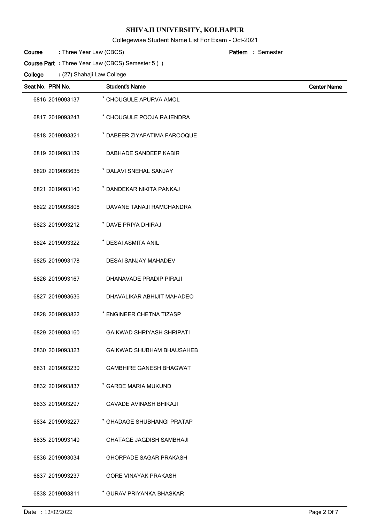Collegewise Student Name List For Exam - Oct-2021

| : Three Year Law (CBCS)<br>Course<br><b>Pattern</b> : Semester |  |
|----------------------------------------------------------------|--|
|----------------------------------------------------------------|--|

(27) Shahaji Law College **: Course Part :** Three Year Law (CBCS) Semester 5 ( ) **College**

| Seat No. PRN No. | <b>Student's Name</b>            | <b>Center Name</b> |
|------------------|----------------------------------|--------------------|
| 6816 2019093137  | * CHOUGULE APURVA AMOL           |                    |
| 6817 2019093243  | * CHOUGULE POOJA RAJENDRA        |                    |
| 6818 2019093321  | * DABEER ZIYAFATIMA FAROOQUE     |                    |
| 6819 2019093139  | DABHADE SANDEEP KABIR            |                    |
| 6820 2019093635  | * DALAVI SNEHAL SANJAY           |                    |
| 6821 2019093140  | * DANDEKAR NIKITA PANKAJ         |                    |
| 6822 2019093806  | DAVANE TANAJI RAMCHANDRA         |                    |
| 6823 2019093212  | * DAVE PRIYA DHIRAJ              |                    |
| 6824 2019093322  | * DESAI ASMITA ANIL              |                    |
| 6825 2019093178  | <b>DESAI SANJAY MAHADEV</b>      |                    |
| 6826 2019093167  | DHANAVADE PRADIP PIRAJI          |                    |
| 6827 2019093636  | DHAVALIKAR ABHIJIT MAHADEO       |                    |
| 6828 2019093822  | * ENGINEER CHETNA TIZASP         |                    |
| 6829 2019093160  | <b>GAIKWAD SHRIYASH SHRIPATI</b> |                    |
| 6830 2019093323  | GAIKWAD SHUBHAM BHAUSAHEB        |                    |
| 6831 2019093230  | <b>GAMBHIRE GANESH BHAGWAT</b>   |                    |
| 6832 2019093837  | * GARDE MARIA MUKUND             |                    |
| 6833 2019093297  | <b>GAVADE AVINASH BHIKAJI</b>    |                    |
| 6834 2019093227  | * GHADAGE SHUBHANGI PRATAP       |                    |
| 6835 2019093149  | <b>GHATAGE JAGDISH SAMBHAJI</b>  |                    |
| 6836 2019093034  | <b>GHORPADE SAGAR PRAKASH</b>    |                    |
| 6837 2019093237  | <b>GORE VINAYAK PRAKASH</b>      |                    |
| 6838 2019093811  | * GURAV PRIYANKA BHASKAR         |                    |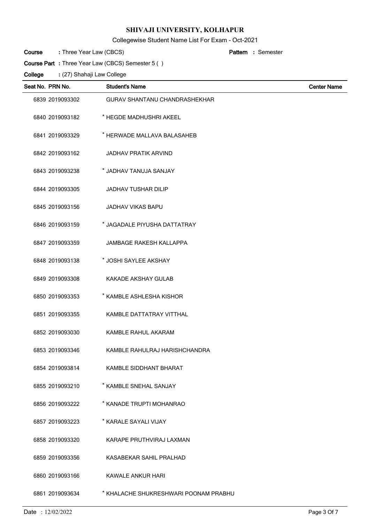Collegewise Student Name List For Exam - Oct-2021

| Course | : Three Year Law (CBCS) |  | <b>Pattern</b> : Semester |
|--------|-------------------------|--|---------------------------|
|        |                         |  |                           |

**Course Part :** Three Year Law (CBCS) Semester 5 ( )

| Seat No. PRN No. |                 | <b>Student's Name</b>                 | <b>Center Name</b> |
|------------------|-----------------|---------------------------------------|--------------------|
|                  | 6839 2019093302 | <b>GURAV SHANTANU CHANDRASHEKHAR</b>  |                    |
|                  | 6840 2019093182 | * HEGDE MADHUSHRI AKEEL               |                    |
|                  | 6841 2019093329 | * HERWADE MALLAVA BALASAHEB           |                    |
|                  | 6842 2019093162 | <b>JADHAV PRATIK ARVIND</b>           |                    |
|                  | 6843 2019093238 | * JADHAV TANUJA SANJAY                |                    |
|                  | 6844 2019093305 | <b>JADHAV TUSHAR DILIP</b>            |                    |
|                  | 6845 2019093156 | JADHAV VIKAS BAPU                     |                    |
|                  | 6846 2019093159 | * JAGADALE PIYUSHA DATTATRAY          |                    |
|                  | 6847 2019093359 | <b>JAMBAGE RAKESH KALLAPPA</b>        |                    |
|                  | 6848 2019093138 | * JOSHI SAYLEE AKSHAY                 |                    |
|                  | 6849 2019093308 | <b>KAKADE AKSHAY GULAB</b>            |                    |
|                  | 6850 2019093353 | * KAMBLE ASHLESHA KISHOR              |                    |
|                  | 6851 2019093355 | KAMBLE DATTATRAY VITTHAL              |                    |
|                  | 6852 2019093030 | KAMBLE RAHUL AKARAM                   |                    |
|                  | 6853 2019093346 | KAMBLE RAHULRAJ HARISHCHANDRA         |                    |
|                  | 6854 2019093814 | <b>KAMBLE SIDDHANT BHARAT</b>         |                    |
|                  | 6855 2019093210 | * KAMBLE SNEHAL SANJAY                |                    |
|                  | 6856 2019093222 | * KANADE TRUPTI MOHANRAO              |                    |
|                  | 6857 2019093223 | * KARALE SAYALI VIJAY                 |                    |
|                  | 6858 2019093320 | KARAPE PRUTHVIRAJ LAXMAN              |                    |
|                  | 6859 2019093356 | KASABEKAR SAHIL PRALHAD               |                    |
|                  | 6860 2019093166 | KAWALE ANKUR HARI                     |                    |
|                  | 6861 2019093634 | * KHALACHE SHUKRESHWARI POONAM PRABHU |                    |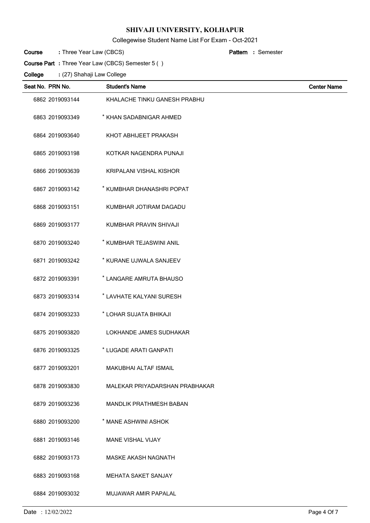Collegewise Student Name List For Exam - Oct-2021

| Course | : Three Year Law (CBCS) | <b>Pattern</b> : Semester |
|--------|-------------------------|---------------------------|
|--------|-------------------------|---------------------------|

**Course Part :** Three Year Law (CBCS) Semester 5 ( )

| Seat No. PRN No. | <b>Student's Name</b>          | <b>Center Name</b> |
|------------------|--------------------------------|--------------------|
| 6862 2019093144  | KHALACHE TINKU GANESH PRABHU   |                    |
| 6863 2019093349  | * KHAN SADABNIGAR AHMED        |                    |
| 6864 2019093640  | KHOT ABHIJEET PRAKASH          |                    |
| 6865 2019093198  | KOTKAR NAGENDRA PUNAJI         |                    |
| 6866 2019093639  | <b>KRIPALANI VISHAL KISHOR</b> |                    |
| 6867 2019093142  | * KUMBHAR DHANASHRI POPAT      |                    |
| 6868 2019093151  | KUMBHAR JOTIRAM DAGADU         |                    |
| 6869 2019093177  | KUMBHAR PRAVIN SHIVAJI         |                    |
| 6870 2019093240  | * KUMBHAR TEJASWINI ANIL       |                    |
| 6871 2019093242  | * KURANE UJWALA SANJEEV        |                    |
| 6872 2019093391  | * LANGARE AMRUTA BHAUSO        |                    |
| 6873 2019093314  | * LAVHATE KALYANI SURESH       |                    |
| 6874 2019093233  | * LOHAR SUJATA BHIKAJI         |                    |
| 6875 2019093820  | LOKHANDE JAMES SUDHAKAR        |                    |
| 6876 2019093325  | * LUGADE ARATI GANPATI         |                    |
| 6877 2019093201  | <b>MAKUBHAI ALTAF ISMAIL</b>   |                    |
| 6878 2019093830  | MALEKAR PRIYADARSHAN PRABHAKAR |                    |
| 6879 2019093236  | <b>MANDLIK PRATHMESH BABAN</b> |                    |
| 6880 2019093200  | * MANE ASHWINI ASHOK           |                    |
| 6881 2019093146  | <b>MANE VISHAL VIJAY</b>       |                    |
| 6882 2019093173  | MASKE AKASH NAGNATH            |                    |
| 6883 2019093168  | <b>MEHATA SAKET SANJAY</b>     |                    |
| 6884 2019093032  | MUJAWAR AMIR PAPALAL           |                    |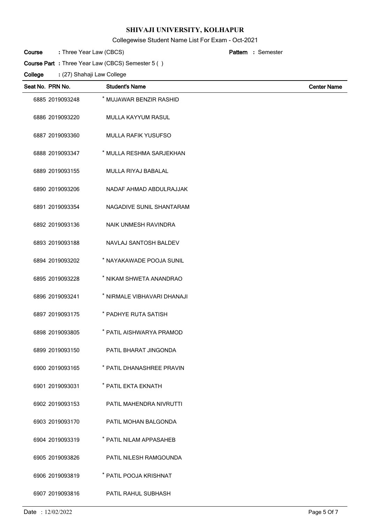Collegewise Student Name List For Exam - Oct-2021

| Course | : Three Year Law (CBCS) | <b>Pattern</b> : Semester |
|--------|-------------------------|---------------------------|
|--------|-------------------------|---------------------------|

**Course Part :** Three Year Law (CBCS) Semester 5 ( )

| Seat No. PRN No. | <b>Student's Name</b>       | <b>Center Name</b> |
|------------------|-----------------------------|--------------------|
| 6885 2019093248  | * MUJAWAR BENZIR RASHID     |                    |
| 6886 2019093220  | MULLA KAYYUM RASUL          |                    |
| 6887 2019093360  | <b>MULLA RAFIK YUSUFSO</b>  |                    |
| 6888 2019093347  | * MULLA RESHMA SARJEKHAN    |                    |
| 6889 2019093155  | MULLA RIYAJ BABALAL         |                    |
| 6890 2019093206  | NADAF AHMAD ABDULRAJJAK     |                    |
| 6891 2019093354  | NAGADIVE SUNIL SHANTARAM    |                    |
| 6892 2019093136  | NAIK UNMESH RAVINDRA        |                    |
| 6893 2019093188  | NAVLAJ SANTOSH BALDEV       |                    |
| 6894 2019093202  | * NAYAKAWADE POOJA SUNIL    |                    |
| 6895 2019093228  | * NIKAM SHWETA ANANDRAO     |                    |
| 6896 2019093241  | * NIRMALE VIBHAVARI DHANAJI |                    |
| 6897 2019093175  | * PADHYE RUTA SATISH        |                    |
| 6898 2019093805  | * PATIL AISHWARYA PRAMOD    |                    |
| 6899 2019093150  | PATIL BHARAT JINGONDA       |                    |
| 6900 2019093165  | * PATIL DHANASHREE PRAVIN   |                    |
| 6901 2019093031  | * PATIL EKTA EKNATH         |                    |
| 6902 2019093153  | PATIL MAHENDRA NIVRUTTI     |                    |
| 6903 2019093170  | PATIL MOHAN BALGONDA        |                    |
| 6904 2019093319  | * PATIL NILAM APPASAHEB     |                    |
| 6905 2019093826  | PATIL NILESH RAMGOUNDA      |                    |
| 6906 2019093819  | * PATIL POOJA KRISHNAT      |                    |
| 6907 2019093816  | PATIL RAHUL SUBHASH         |                    |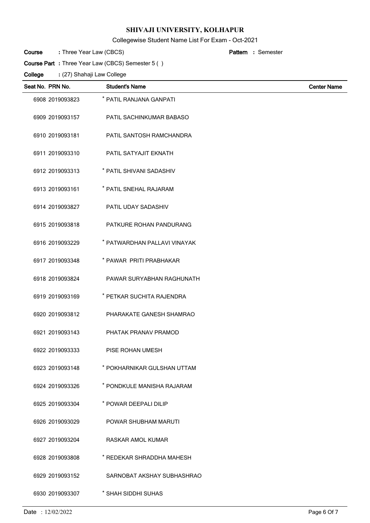Collegewise Student Name List For Exam - Oct-2021

| Course | : Three Year Law (CBCS) |  | <b>Pattern</b> : Semester |
|--------|-------------------------|--|---------------------------|
|        |                         |  |                           |

**Course Part :** Three Year Law (CBCS) Semester 5 ( )

| Seat No. PRN No. | <b>Student's Name</b>        | <b>Center Name</b> |
|------------------|------------------------------|--------------------|
| 6908 2019093823  | * PATIL RANJANA GANPATI      |                    |
| 6909 2019093157  | PATIL SACHINKUMAR BABASO     |                    |
| 6910 2019093181  | PATIL SANTOSH RAMCHANDRA     |                    |
| 6911 2019093310  | PATIL SATYAJIT EKNATH        |                    |
| 6912 2019093313  | * PATIL SHIVANI SADASHIV     |                    |
| 6913 2019093161  | * PATIL SNEHAL RAJARAM       |                    |
| 6914 2019093827  | PATIL UDAY SADASHIV          |                    |
| 6915 2019093818  | PATKURE ROHAN PANDURANG      |                    |
| 6916 2019093229  | * PATWARDHAN PALLAVI VINAYAK |                    |
| 6917 2019093348  | * PAWAR PRITI PRABHAKAR      |                    |
| 6918 2019093824  | PAWAR SURYABHAN RAGHUNATH    |                    |
| 6919 2019093169  | * PETKAR SUCHITA RAJENDRA    |                    |
| 6920 2019093812  | PHARAKATE GANESH SHAMRAO     |                    |
| 6921 2019093143  | PHATAK PRANAV PRAMOD         |                    |
| 6922 2019093333  | PISE ROHAN UMESH             |                    |
| 6923 2019093148  | * POKHARNIKAR GULSHAN UTTAM  |                    |
| 6924 2019093326  | * PONDKULE MANISHA RAJARAM   |                    |
| 6925 2019093304  | * POWAR DEEPALI DILIP        |                    |
| 6926 2019093029  | POWAR SHUBHAM MARUTI         |                    |
| 6927 2019093204  | RASKAR AMOL KUMAR            |                    |
| 6928 2019093808  | * REDEKAR SHRADDHA MAHESH    |                    |
| 6929 2019093152  | SARNOBAT AKSHAY SUBHASHRAO   |                    |
| 6930 2019093307  | * SHAH SIDDHI SUHAS          |                    |